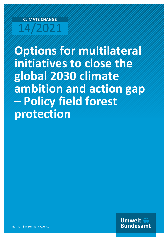# **CLIMATE CHANGE** 14/2021

**Options for multilateral initiatives to close the global 2030 climate ambition and action gap – Policy field forest protection**

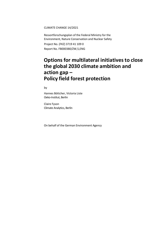CLIMATE CHANGE 14/2021

Ressortforschungsplan of the Federal Ministry for the Environment, Nature Conservation and Nuclear Safety Project No. (FKZ) 3719 41 109 0 Report No. FB000380/ZW,5,ENG

### **Options for multilateral initiatives to close the global 2030 climate ambition and action gap – Policy field forest protection**

by

Hannes Böttcher, Victoria Liste Oeko-Institut, Berlin

Claire Fyson Climate Analytics, Berlin

On behalf of the German Environment Agency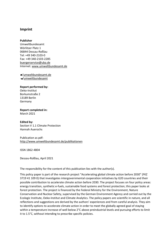#### **Imprint**

#### **Publisher**

Umweltbundesamt Wörlitzer Platz 1 06844 Dessau-Roßlau Tel: +49 340-2103-0 Fax: +49 340-2103-2285 [buergerservice@uba.de](mailto:buergerservice@uba.de) Internet: www.umweltbundesamt.de

/umweltbundesamt.de /umweltbundesamt

#### **Report performed by:**

Oeko-Institut Borkumstraße 2 13189 Berlin Germany

### **Report completed in:**

March 2021

#### **Edited by:**

Section V 1.1 Climate Protection Hannah Auerochs

#### Publication as pdf: <http://www.umweltbundesamt.de/publikationen>

ISSN 1862-4804

Dessau-Roßlau, April 2021

The responsibility for the content of this publication lies with the author(s).

This policy paper is part of the research project "Accelerating global climate action before 2030" (FKZ 3719 41 109 0) that investigates intergovernmental cooperation initiatives by G20 countries and their possible contribution to accelerate climate action before 2030. The project focuses on four policy areas: energy transition, synthetic e-fuels, sustainable food systems and forest protection; this paper looks at forest protection. The project is financed by the Federal Ministry for the Environment, Nature Conservation and Nuclear Safety, supervised by the German Environment Agency and carried out by the Ecologic Institute, Oeko-Institut and Climate Analytics. The policy papers are scientific in nature, and all reflections and suggestions are derived by the authors' experiences and from careful analysis. They aim to identify options to accelerate climate action in order to meet the globally agreed goal of staying within a temperature increase of well below 2°C above preindustrial levels and pursuing efforts to limit it to 1.5°C, without intending to prescribe specific policies.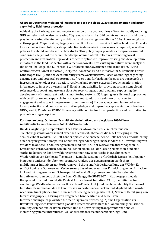#### **Abstract: Options for multilateral initiatives to close the global 2030 climate ambition and action gap – Policy field forest protection**

Achieving the Paris Agreement long-term temperature goal requires efforts for rapidly reducing GHG emissions while also increasing  $CO<sub>2</sub>$  removals by sinks. G20 countries have a crucial role to play in increasing climate policy ambition. Land use change contributes 15 % of current global anthropogenic  $CO<sub>2</sub>$  emissions, largely as a result of forest conversion to other land uses. To make forests part of the solution, a steep reduction in deforestation emissions is required, as well as policies to rebuild land-based carbon stocks. This policy paper provides a comprehensive but condensed analysis of the current landscape of multilateral initiatives promoting forest protection and restoration. It provides concrete options to improve existing and develop future initiatives in the land use sector with a focus on forests. Five existing initiatives were analysed: the Bonn Challenge, the EU Forest Law Enforcement, Governance and Trade (FLEGT), the Central African Forest Initiative (CAFI), the BioCarbon Fund's Initiative for Sustainable Forest Landscapes (ISFL), and the Accountability Framework initiative. Based on findings regarding existing gaps and potential opportunities, five options for bridging the gaps are suggested: 1) Increasing stakeholder participation, resolving land tenure issues and reducing information imbalances to improve ownership; 2) Establishing a facility for providing a consistent global reference data set of land use emissions for reconciling national data and supporting the development of transparent national monitoring systems; 3) Aligning jurisdictional approaches with certification and supply chain management standards to enhance private sector engagement and support longer-term commitments; 4) Encouraging countries for coherent forest protection and landscape restoration pledges and improving representation of land use in NDCs; and 5) Combine COVID-19 recovery with policies for forest protection and restoration to promote no-regret options.

#### **Kurzbeschreibung: Optionen für multilaterale Initiativen, um die globale 2030-Klima-Ambitionslücke zu schließen – Politikfeld Waldschutz**

Um das langfristige Temperaturziel des Pariser Abkommens zu erreichen müssen Treibhausgasemissionen schnell erheblich reduziert, aber auch die CO<sub>2</sub>-Festlegung durch Senken erhöht werden. Die G20-Länder spielen eine entscheidende Rolle bei der Verwirklichung einer ehrgeizigeren Klimapolitik. Landnutzungsänderungen, insbesondere die Umwandlung von Wäldern in andere Landnutzungsformen, sind für 15 % der weltweiten anthropogenen CO<sub>2</sub>-Emissionen verantwortlich. Um die Wälder zu einem Teil der Lösung zu machen, sind eine starke Reduzierung der Entwaldungsemissionen sowie politische Maßnahmen zum Wiederaufbau von Kohlenstoffvorräten in Landökosystemen erforderlich. Dieses Politikpapier bietet eine umfassende, aber komprimierte Analyse der gegenwärtigen Landschaft multilateraler Initiativen zur Förderung von Schutz und Wiederherstellung der Wälder. Es schlägt konkrete Optionen zur Verbesserung bestehender und zur Entwicklung neuer Initiativen im Landnutzungssektor mit Schwerpunkt auf Waldökosystemen vor. Fünf bestehende Initiativen wurden betrachtet: die Bonn Challenge, die EU-FLEGT Initiative gegen illegale Holzproduktion und Handel, die Central African Forest Initiative (CAFI), die Initiative für nachhaltige Waldlandschaften des BioCarbon-Fonds (ISFL) und die Accountability Framework Initiative. Basierend auf den Erkenntnissen zu bestehenden Lücken und Möglichkeiten wurden wiederum fünf Optionen für die Lückenschließung herausgearbeitet: 1) Stärkere Beteiligung von Interessensgruppen, Klärung von Fragen des Landbesitzes und Abbau von Informationsungleichgewichten für mehr Eigenverantwortung; 2) eine Organisation zur Bereitstellung eines konsistenten globalen Referenzdatensatzes für Landnutzungsemissionen zum Abgleich nationaler Daten schaffen und die Entwicklung transparenter nationaler Monitoringsysteme unterstützen; 3) Landschaftsansätze mit Zertifizierungs- und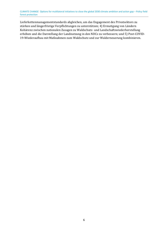Lieferkettenmanagementstandards abgleichen, um das Engagement des Privatsektors zu stärken und längerfristige Verpflichtungen zu unterstützen; 4) Ermutigung von Ländern Kohärenz zwischen nationalen Zusagen zu Waldschutz- und Landschaftswiederherstellung erhöhen und die Darstellung der Landnutzung in den NDCs zu verbessern; und 5) Post-COVID-19-Wiederaufbau mit Maßnahmen zum Waldschutz und zur Walderneuerung kombinieren.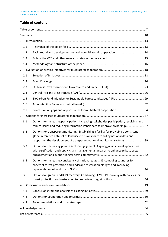#### <span id="page-6-0"></span>**Table of content**

| 1              |     |                                                                                                                                                                                                                                                         |  |  |  |  |
|----------------|-----|---------------------------------------------------------------------------------------------------------------------------------------------------------------------------------------------------------------------------------------------------------|--|--|--|--|
|                | 1.1 |                                                                                                                                                                                                                                                         |  |  |  |  |
|                | 1.2 |                                                                                                                                                                                                                                                         |  |  |  |  |
|                | 1.3 |                                                                                                                                                                                                                                                         |  |  |  |  |
|                | 1.4 |                                                                                                                                                                                                                                                         |  |  |  |  |
| $\overline{2}$ |     |                                                                                                                                                                                                                                                         |  |  |  |  |
|                | 2.1 |                                                                                                                                                                                                                                                         |  |  |  |  |
|                | 2.2 |                                                                                                                                                                                                                                                         |  |  |  |  |
|                | 2.3 |                                                                                                                                                                                                                                                         |  |  |  |  |
|                | 2.4 |                                                                                                                                                                                                                                                         |  |  |  |  |
|                | 2.5 |                                                                                                                                                                                                                                                         |  |  |  |  |
|                | 2.6 |                                                                                                                                                                                                                                                         |  |  |  |  |
|                | 2.7 | Conclusion on gaps and opportunities for multilateral cooperation 34                                                                                                                                                                                    |  |  |  |  |
| 3              |     |                                                                                                                                                                                                                                                         |  |  |  |  |
|                | 3.1 | Options for increasing participation: Increasing stakeholder participation, resolving land<br>tenure issues and reducing information imbalances to improve ownership 37                                                                                 |  |  |  |  |
|                | 3.2 | Options for transparent monitoring: Establishing a facility for providing a consistent<br>global reference data set of land use emissions for reconciling national data and<br>supporting the development of transparent national monitoring systems 39 |  |  |  |  |
|                | 3.3 | Options for increasing private sector engagement: Aligning jurisdictional approaches<br>with certification and supply chain management standards to enhance private sector                                                                              |  |  |  |  |
|                | 3.4 | Options for increasing consistency of national targets: Encouraging countries for<br>coherent forest protection and landscape restoration pledges and improving                                                                                         |  |  |  |  |
|                | 3.5 | Options for green COVID-19 recovery: Combining COVID-19 recovery with policies for                                                                                                                                                                      |  |  |  |  |
| 4              |     |                                                                                                                                                                                                                                                         |  |  |  |  |
|                | 4.1 |                                                                                                                                                                                                                                                         |  |  |  |  |
|                | 4.2 |                                                                                                                                                                                                                                                         |  |  |  |  |
|                | 4.3 |                                                                                                                                                                                                                                                         |  |  |  |  |
|                |     |                                                                                                                                                                                                                                                         |  |  |  |  |
|                |     |                                                                                                                                                                                                                                                         |  |  |  |  |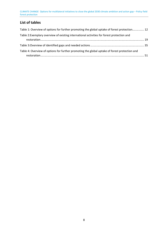#### **List of tables**

| Table 1: Overview of options for further promoting the global uptake of forest protection 12  |  |
|-----------------------------------------------------------------------------------------------|--|
| Table 2: Exemplary overview of existing international activities for forest protection and    |  |
|                                                                                               |  |
| Table 4: Overview of options for further promoting the global uptake of forest protection and |  |
|                                                                                               |  |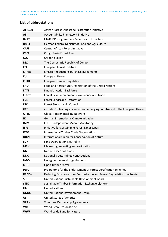#### **List of abbreviations**

| <b>AFR100</b>   | African Forest Landscape Restoration Initiative                             |  |  |  |  |
|-----------------|-----------------------------------------------------------------------------|--|--|--|--|
| AFi             | Accountability Framework Initiative                                         |  |  |  |  |
| <b>BeRT</b>     | UN-REDD Programme's Benefits and Risks Tool                                 |  |  |  |  |
| <b>BMEL</b>     | German Federal Ministry of Food and Agriculture                             |  |  |  |  |
| <b>CAFI</b>     | <b>Central African Forest Initiative</b>                                    |  |  |  |  |
| <b>CBFF</b>     | Congo Basin Forest Fund                                                     |  |  |  |  |
| CO <sub>2</sub> | Carbon dioxide                                                              |  |  |  |  |
| <b>DRC</b>      | The Democratic Republic of Congo                                            |  |  |  |  |
| <b>EFI</b>      | European Forest Institute                                                   |  |  |  |  |
| <b>ERPAs</b>    | Emission reductions purchase agreements                                     |  |  |  |  |
| EU              | <b>European Union</b>                                                       |  |  |  |  |
| <b>EUTR</b>     | <b>European Timber Regulation</b>                                           |  |  |  |  |
| <b>FAO</b>      | Food and Agriculture Organization of the United Nations                     |  |  |  |  |
| <b>FATF</b>     | <b>Financial Action Taskforce</b>                                           |  |  |  |  |
| <b>FLEGT</b>    | Forest Law Enforcement, Governance and Trade                                |  |  |  |  |
| <b>FLR</b>      | <b>Forest Landscape Restoration</b>                                         |  |  |  |  |
| <b>FSC</b>      | Forest Stewardship Council                                                  |  |  |  |  |
| G20             | includes 19 leading advanced and emerging countries plus the European Union |  |  |  |  |
| <b>GTTN</b>     | <b>Global Timber Tracking Network</b>                                       |  |  |  |  |
| IKI             | German International Climate Initiative                                     |  |  |  |  |
| <b>IMM</b>      | <b>FLEGT Independent Market Monitoring</b>                                  |  |  |  |  |
| <b>ISFL</b>     | Initiative for Sustainable Forest Landscapes                                |  |  |  |  |
| <b>ITTO</b>     | International Timber Trade Organisation                                     |  |  |  |  |
| <b>IUCN</b>     | International Union for Conservation of Nature                              |  |  |  |  |
| <b>LDN</b>      | Land Degradation Neutrality                                                 |  |  |  |  |
| <b>MRV</b>      | Measuring, reporting and verification                                       |  |  |  |  |
| <b>NbS</b>      | Nature-based solutions                                                      |  |  |  |  |
| <b>NDC</b>      | Nationally determined contributions                                         |  |  |  |  |
| <b>NGOs</b>     | Non-governmental organisations                                              |  |  |  |  |
| <b>OTP</b>      | Open Timber Portal                                                          |  |  |  |  |
| <b>PEFC</b>     | Programme for the Endorsement of Forest Certification Schemes               |  |  |  |  |
| REDD+           | Reducing Emissions from Deforestation and Forest Degradation mechanism      |  |  |  |  |
| <b>SDG</b>      | United Nations Sustainable Development Goals                                |  |  |  |  |
| <b>STIX</b>     | Sustainable Timber Information Exchange platform                            |  |  |  |  |
| <b>UN</b>       | <b>United Nations</b>                                                       |  |  |  |  |
| <b>UNDG</b>     | <b>United Nations Development Group</b>                                     |  |  |  |  |
| <b>US</b>       | <b>United States of America</b>                                             |  |  |  |  |
| <b>VPAs</b>     | <b>Voluntary Partnership Agreements</b>                                     |  |  |  |  |
| <b>WRI</b>      | <b>World Resources Institute</b>                                            |  |  |  |  |
| <b>WWF</b>      | World Wide Fund for Nature                                                  |  |  |  |  |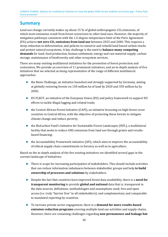### <span id="page-9-0"></span>**Summary**

Land use change currently makes up about 15 % of global anthropogenic  $CO<sub>2</sub>$  emissions, of which most emissions result from forest conversion to other land uses. However, the majority of mitigation pathways consistent with the 1.5-degree temperature limit of the Paris Agreement (PA) achieve **net zero CO2 emissions from land use** between 2025 and 2040. This requires a steep reduction in deforestation, and policies to conserve and rebuild land-based carbon stocks and protect natural ecosystems. A key challenge is the need to **balance many competing demands** for land: food production, human settlement, energy and raw material supply, carbon storage, maintenance of biodiversity and other ecosystem services.

There are many existing multilateral initiatives for the promotion of forest protection and restoration. We provide an overview of 11 prominent initiatives, and an in-depth analysis of five initiatives that we selected as being representative of the range of different multilateral approaches:

- ► the Bonn Challenge, an initiative launched and strongly supported by Germany, aiming at globally restoring forests on 150 million ha of land by 2020 and 350 million ha by 2030;
- ► EU FLEGT, an initiative of the European Union (EU) and policy framework to support EU efforts to tackle illegal logging and related trade;
- ► the Central African Forest Initiative (CAFI), an initiative focussing on high-forest cover countries in Central Africa, with the objective of protecting these forests to mitigate climate change and reduce poverty;
- ► the BioCarbon Fund's Initiative for Sustainable Forest Landscapes (ISFL), a multilateral facility that seeks to reduce GHG emissions from land use through grants and resultsbased financing;
- $\triangleright$  the Accountability Framework initiative (AFi), which aims to improve the accountability of ethical supply chain commitments in forestry as well as in agriculture.

Based on the in-depth analysis of the five existing initiatives we identified several gaps in the current landscape of initiatives:

- ► There is scope for increasing participation of stakeholders. This should include activities that can reduce information imbalances between stakeholder groups and help **to build ownership of processes and solutions** by stakeholders.
- ► Despite the fact that countries have improved forest data availability, there is a **need for transparent monitoring** to provide **global and national** data that is: transparent in the data sources, definitions, methodologies and assumptions used; free and open access (i.e. truly "barrier free" to all stakeholders); and complementary and comparable to mandated reporting by countries.
- ► To increase private sector engagement, there is a **demand for more results-based emission reduction programs** covering multiple land use activities and supply chains. However, there are remaining challenges regarding **non-permanence and leakage but**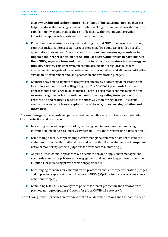**also ownership and carbon tenure**. The piloting of **jurisdictional approaches** can help to address the challenges that arise when seeking to eliminate deforestation from complex supply chains, reduce the risk of leakage within regions, and provide an important step towards consistent national accounting.

- $\triangleright$  Forests were recognised as a key sector during the first NDC submissions, with many countries including forest sector targets. However, few countries provided specific quantitative information. There is a need to **support and encourage countries to improve their representation of the land use sector, and forests in particular, in their NDCs, separate from and in addition to reducing emissions in the energy and industry sectors.** This improvement should also include safeguards to ensure environmental integrity of forest related mitigation activities, and alignment with other sustainable development and land protection and restoration pledges.
- ► Countries have made significant progress in effectively addressing deforestation and forest degradation, as well as illegal logging. The **COVID-19 pandemic** forms an unprecedented challenge to all countries. There is a risk that economic response and recovery programmes lead to **reduced ambitions regarding forest protection and restoration** and reduced capacities for effectively monitoring forests. This could eventually even result in **overexploitation of forests, increased degradation and forest loss**.

To close these gaps, we have developed and sketched out five sets of options for accelerating forest protection and restoration.

- ► Increasing stakeholder participation, resolving land tenure issues and reducing information imbalances to improve ownership ("Options for increasing participation");
- ► Establishing a facility for providing a consistent global reference data set of land use emissions for reconciling national data and supporting the development of transparent national monitoring systems ("Options for transparent monitoring");
- ► Aligning jurisdictional approaches with certification and supply chain management standards to enhance private sector engagement and support longer-term commitments ("Options for increasing private sector engagement");
- ► Encouraging countries for coherent forest protection and landscape restoration pledges and improving representation of land use in NDCs ("Options for increasing consistency of national targets");
- ► Combining COVID-19 recovery with policies for forest protection and restoration to promote no-regret options ("Options for green COVID-19 recovery").

The following [Table 1](#page-11-0) provides an overview of the five identified options and their assessment.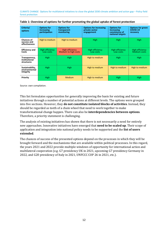| Criteria/<br>options                              | <b>Options for</b><br>increasing<br>participation | <b>Options for</b><br>transparent<br>monitoring | <b>Options for increasing</b><br>private sector<br>engagement | <b>Options for</b><br>increasing<br>consistency of<br>national targets | <b>Options for green</b><br>COVID-19<br>recovery |
|---------------------------------------------------|---------------------------------------------------|-------------------------------------------------|---------------------------------------------------------------|------------------------------------------------------------------------|--------------------------------------------------|
| <b>Chances of</b><br>success and<br>effectiveness | High to medium                                    | High to medium                                  | <b>High</b>                                                   | <b>High</b>                                                            | High                                             |
| <b>Efficiency and</b><br>Costs                    | High efficiency<br>Low costs                      | High efficiency<br>Medium to high costs         | High efficiency<br>Low costs                                  | High efficiency<br>Low costs                                           | High efficiency<br><b>Medium costs</b>           |
| Transparency,<br>institutional<br>structures      | <b>High</b>                                       | High                                            | High to medium                                                | <b>High</b>                                                            | High                                             |
| Sustainability,<br>environmental<br>integrity     | High                                              | High                                            | High to medium                                                | High to medium                                                         | High to medium                                   |
| Priority                                          | High                                              | <b>Medium</b>                                   | High to medium                                                | High                                                                   | High                                             |

<span id="page-11-0"></span>

Source: own compilation.

This list formulates opportunities for generally improving the basis for existing and future initiatives through a number of potential actions at different levels. The options were grouped into five sections. However, they **do not constitute isolated blocks of activities**. Instead, they should be regarded as teeth of a chain wheel that need to work together to make transformational change happen. There can also be **interdependencies between options**. Therefore, a priority statement is challenging.

The analysis of existing initiatives has shown that there is not necessarily a need for entirely new approaches. Innovative initiatives have emerged that **need to be scaled up**. Their scope of application and integration into national policy needs to be supported and the **list of users extended**.

The chances of success of the presented options depend on the processes in which they will be brought forward and the mechanisms that are available within political processes. In this regard, the years 2021 and 2022 provide multiple windows of opportunity for international action and multilateral cooperation (e.g. G7 presidency UK in 2021, upcoming G7 presidency Germany in 2022, and G20 presidency of Italy in 2021, UNFCCC COP 26 in 2021, etc.).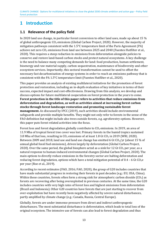CLIMATE CHANGE Options for multilateral initiatives to close the global 2030 climate ambition and action gap – Policy field forest protection

### <span id="page-12-0"></span>**1 Introduction**

#### <span id="page-12-1"></span>**1.1 Relevance of the policy field**

In 2020 land use change, in particular forest conversion to other land uses, made up about 15 % of global anthropogenic  $CO<sub>2</sub>$  emissions (Global Carbon Project, 2020). However, the majority of mitigation pathways consistent with the 1.5°C temperature limit of the Paris Agreement (PA) achieve net zero CO<sub>2</sub> emissions from land use between 2025 and 2040 (Fuentes Hutfilter et al., 2020). This requires a steep reduction in emissions from deforestation alongside policies to conserve and restore land-based carbon stocks and protect natural ecosystems. A key challenge is the need to balance many competing demands for land: food production, human settlement, bioenergy and raw material supply, carbon sequestration, maintenance of biodiversity and other ecosystem services. Importantly, this sectoral transformation cannot be used to offset the necessary fast decarbonisation of energy systems in order to reach an emissions pathway that is consistent with the PA 1.5°C temperature limit (Fuentes Hutfilter et al., 2020).

This paper provides an analysis of existing multilateral initiatives for the promotion of forest protection and restoration, including an in-depth evaluation of key initiatives in terms of their success, expected impact and cost-effectiveness. Drawing from this analysis, we develop and discuss options for future multilateral cooperation on forest protection in the years to come. **Forest protection in the title of this paper refers to activities that reduce emissions from deforestation and degradation, as well as activities aimed at increasing forest carbon stocks through forest landscape restoration and promoting sustainable forest management.** As discussed by IPCC (2019), such activities should include environmental safeguards and provide multiple benefits. They might not only refer to forests in the sense of the FAO definition but might include also trees outside forests, e.g. agroforestry options. However, this paper puts forest related activities into the focus.

Forest loss and forest degradation globally contribute to  $CO<sub>2</sub>$  emissions. In 2019, an area of 11.9 Mha of tropical forest tree cover was lost. Primary forests in the humid tropics sustained 3.8 Mha of that loss, resulting in  $CO<sub>2</sub>$  emissions of at least 1.8 Gt  $CO<sub>2</sub>$  in 2019 (WRI, 2020). Between 2009 and 2018, land use and land use change has emitted 6 Gt  $CO<sub>2</sub>/vr$  (about 15 % of annual global fossil fuel emissions), driven largely by deforestation (Global Carbon Project, 2020). Over the same period, the global biosphere acted as a sink for 12 Gt  $CO<sub>2</sub>$  per year, as a natural response to human-induced environmental changes (Global Carbon Project, 2020). The main options to directly reduce emissions in the forestry sector are halting deforestation and reducing forest degradation, options which have a total mitigation potential of  $0.4$  – 6 Gt CO<sub>2</sub>e per year (Roe et al., 2019).

According to recent estimates (FAO, 2016; FAO, 2020), the group of G20 includes countries that have made substantial progress in restoring their forests in past decades (e.g.: EU, USA, China). Within these countries, forests often form a strong sink for atmospheric carbon dioxide  $(CO<sub>2</sub>)$  as forests are recovering after being overexploited in previous centuries. At the same time, the G20 includes countries with very high rates of forest loss and highest emissions from deforestation (Brazil and Indonesia). Other G20 countries have forests that are just starting to recover from over-exploitation but have recently been negatively affected by severe natural disturbances, partly amplified by climate change (e.g.: Canada, Russia, Central Europe).

Globally, forests are under immense pressure from direct and indirect anthropogenic disturbances. The most substantial disturbance is deforestation, which leads to total loss of the original ecosystem. The intensive use of forests can also lead to forest degradation and thus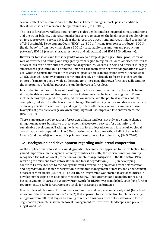severely affect ecosystem services of the forest. Climate change impacts pose an additional threat, which is set to worsen as temperatures rise (IPCC, 2019).

The loss of forest cover affects biodiversity, e.g. through habitat loss, regional climate conditions and the water balance. Deforestation also has severe impacts on the livelihoods of people relying on forest ecosystem services. It is clear that forests are directly and indirectly linked to a number of UN Sustainable Development Goals (SDGs), e.g. SDG 1 (income from forest products), SDG 3 (health benefits from medicinal plants), SDG 12 (sustainable consumption and production patterns), SDG 13 (carbon storage; resilience and adaptation) and SDG 15 (biodiversity).

Drivers for forest loss and forest degradation are to a large degree agricultural production, as well as forestry and mining, and vary greatly from region to region. In South America, two-thirds of forest loss can be attributed to commercial agriculture, whereas in Asia and Africa it is largely subsistence agriculture. In Asia and the Americas, the main driver of forest degradation is wood use, while in Central and West Africa charcoal production is an important driver (Keenan et al., 2015). Meanwhile, many countries contribute directly or indirectly to forest loss through the import of consumer goods, while at the same time increasing their own forest area, illustrating the importance of a global perspective on the drivers of forest loss.

In addition to the direct drivers of forest degradation and loss, other factors play a role in how strong the drivers are but also how effective instruments can be in addressing them. These include demography, gender equality, education, income and the political system, conflicts, corruption, but also the effects of climate change. The influencing factors and drivers, which are often very specific to each country and region, in turn offer leverage for instruments to use. Examples of possible leverage are ownership, rights of use, improved law enforcement, etc (IPCC, 2019).

There is an urgent need to address forest degradation and loss, not only as a climate change mitigation measure, but also to protect essential ecosystem services for adaptation and sustainable development. Tackling the drivers of forest degradation and loss requires global coordination and cooperation. The G20 countries, which host more than half of the world's forests (and over 60% of the world's primary forest), have a key role to play (FAO, 2020).

#### <span id="page-13-0"></span>**1.2 Background and development regarding multilateral cooperation**

As the implications of forest loss and degradation become more apparent, forest protection has gained importance on the agendas of many countries. In 2007, the international community recognised the role of forest protection for climate change mitigation in the Bali Action Plan, referring to emissions from deforestation and forest degradation (REDD) in developing countries (later extended to the policy framework for reducing emissions from deforestation and degradation and foster conservation, sustainable management of forests, and enhancement of forest carbon stocks (REDD+)). The UN-REDD Programme was started to assist countries in developing the capacities needed to meet the UNFCCC requirement and to qualify for resultsbased payments. In 2013 the Warsaw Framework for REDD+ was established, specifying further requirements, e.g. for forest reference levels for assessing performance.

Meanwhile a whole range of instruments and multilateral cooperation already exist (for a brief non-comprehensive overview see [Table 2\)](#page-18-0) that approach forest protection for climate change mitigation from different angles by aiming to reduce emissions from deforestation and forest degradation, promote sustainable forest management, restore forest landscapes and prevent illegal wood use.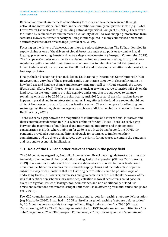Rapid advancements in the field of monitoring forest extent have been achieved through national and international initiatives in the scientific community and private sector (e.g. Global Forest Watch) as well as through building national capacities (Romijn et al., 2015). These were facilitated by reduced costs and increased availability of wall-to-wall mapping information from satellites. However, further capacity building is still required in many countries to detect and accurately assess forest area change (Herold et al., 2019).

Focusing on the drivers of deforestation is key to reduce deforestation. The EU has identified its supply chains as one of the drivers of global forest loss and set up policies to combat illegal logging, protect existing forests and restore degraded ecosystems (European Commission 2019). The European Commission currently carries out an impact assessment of regulatory and nonregulatory options for additional demand side measures to minimize the risk that products linked to deforestation are placed on the EU market and to develop a definition of deforestationfree supply chains.

Finally, the land sector has been included in 121 Nationally Determined Contributions (NDCs). However, only very few of these provide a fully quantitative target with clear information on how land use and land use change and forestry mitigation will contribute towards the target (Fyson and Jeffery, 2019). Moreover, it remains unclear to what degree countries will rely on the land sector in the long-term to provide negative emissions that are supposed to balance remaining emissions by 2050. In the short-term, until 2030, sectoral transformations have to happen in parallel and in an integrated manner. Thus, efforts in the land use sector should not distract from necessary transformations in other sectors. There is no space for offsetting one sector against the other, given the urgency to achieve additional emission reductions (Fuentes Hutfilter et al., 2020).

There is clearly a gap between the magnitude of multilateral and international initiatives and their concrete consideration in NDCs, where ambition for 2030 is set. There is clearly a gap between the magnitude of multilateral and international initiatives and their concrete consideration in NDCs, where ambition for 2030 is set. In 2020 and beyond, the COVID-19 pandemic provided a potential additional obstacle for countries to implement their commitments and to achieve their targets due to priority for measures to contain the pandemic and respond to economic implications.

#### <span id="page-14-0"></span>**1.3 Role of the G20 and other relevant states in the policy field**

The G20 countries Argentina, Australia, Indonesia and Brazil have high deforestation rates due to the high demand for timber production and agricultural expansion (Climate Transparency, 2019). It is essential to address those drivers of deforestation in order to lower land-based emissions. Certification schemes for sustainable supply chains and the redirection of public subsidies away from industries that are fostering deforestation could be possible ways of addressing the issue. However, businesses and governments in the G20 should be aware of the risk that certification schemes for carbon sequestration in forest ecosystems could pose for overall mitigation. Issues of leakage, non-permanence, and non-additionality of land use emissions reductions and removals might limit their use in offsetting fossil fuel emissions (Mace et al., 2018).

Few G20 countries have policies and explicit national targets for reaching net-zero deforestation (e.g. Mexico by 2030). Brazil had in 2008 set itself a target of reaching "net-zero deforestation" by 2015 but has corrected this to a target of "zero illegal deforestation" by 2030 (Climate Transparency, 2019). The EU has implemented the LULUCF Regulation and committed to a "nodebit" target for 2021-2030 (European Commission, 2018a). Germany aims to "maintain and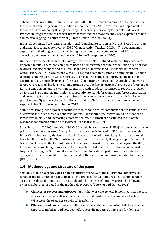enlarge" its current LULCUF sink until 2050 (BMU, 2016). China has committed to increase the forest stock volume by around 4.5 billion m<sup>3</sup>, compared to 2005 levels, and has implemented forest conservation policy through the early 21st century. For example, its National Forest Protection Program aims to recover native forests and has more recently been expanded to ban commercial logging in native forests (Climate Action Tracker, 2020a).

India has committed to creating an additional (cumulative) carbon sink of 2.5–3 Gt  $CO<sub>2</sub>e$  through additional forest and tree cover by 2030 (Climate Action Tracker, 2020b). The government's support of coal mining expansion has brought concerns about some regions with large tree cover loss and destruction of biodiversity (Climate Transparency, 2020).

On the EU level, the EU Renewable Energy Directive of 2018 defined sustainability criteria for imported biofuel. Therefore, companies need to demonstrate that their production does not lead to direct land use changes and to minimise the risk of indirect land use change (European Commission, 2018b). More recently, the EU adopted a communication on stepping up EU action to protect and restore the world's forests. It aims at protecting and improving the health of existing forests, especially primary forests, and significantly increasing sustainable, biodiverse forest coverage worldwide. The communication sets out five priorities: 1) reduce the footprint of EU consumption on land; 2) work in partnership with producer countries to reduce pressures on forests; 3) strengthen international cooperation to halt deforestation and forest degradation, and encourage forest restoration; 4) redirect finance to support more sustainable land-use practices; and 5) support the availability and quality of information on forests and commodity supply chains (European Commission, 2019).

Stable and strong institutional capacities to monitor and ensure compliance are essential for the effectiveness of such directives and regulations. For example, the record-breaking number of forest fires in 2019 and increasing deforestation rates in Brazil are partially a result of the weakened monitoring authorities (Climate Transparency, 2019).

Strassburg et al. (2020) found that 299 Gt  $CO<sub>2</sub>$  could be sequestered if 15 % of converted lands in priority areas were restored. Such priority areas are partly located in G20 countries, namely India, China, Indonesia, Mexico, and Brazil. The restoration of these high priority areas would have implications for all G20 countries, either directly or indirectly through supply chains and trade. It will be essential for multilateral initiatives for forest protection to go beyond the G20, for example by involving countries of the Congo Basin that together host the second largest tropical forest region. Such initiatives will also need to be developed to maximise potential synergies with a sustainable development and at the same time minimise potential trade-offs (IPCC, 2019).

#### <span id="page-15-0"></span>**1.4 Methodology and structure of the paper**

Section 2 of this paper provides a non-exhaustive overview of the multilateral initiatives on forest protection, with particular focus on intergovernmental initiatives. The section further assesses a subset of initiatives in greater detail. The analysis of initiatives uses the following criteria elaborated in detail in the methodology report (Böttcher and Cames, 2021):

- ► **Chances of success and effectiveness**: What were the general lessons learned, success stories, failures, as well as internal and external hurdles that the initiative has faced? What were the obstacles to political feasibility?
- ► **Efficiency and costs**: How cost-effective is the abatement potential that the initiative expects to mobilize, and how cost-effective is the initiative's approach for doing so?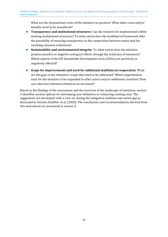What are the (transaction) costs of the initiative in question? What other costs and/or benefits need to be considered?

- ► **Transparency and institutional structures**: Can the initiative be implemented within existing institutional structures? To what extent does the multilateral framework offer the possibility of ensuring transparency in the cooperation between states and the resulting emission reductions?
- ► **Sustainability and environmental integrity**: To what extent does the initiative produce positive or negative ecological effects through the reduction of emissions? Which aspects of the UN Sustainable Development Goals (SDGs) are positively or negatively affected?
- ► **Scope for improvements and need for additional multilateral cooperation**: What are the gaps in the initiative's scope that need to be addressed? Which opportunities exist for the initiative to be expanded to other actors and/or additional countries? How can coherence between initiatives be increased?

Based on the findings of the assessment and the overview of the landscape of initiatives, section 3 identifies several options for developing new initiatives or enhancing existing ones. The suggestions are developed with a view on closing the mitigation ambition and action gap as discussed in Fuentes Hutfilter et al. (2020). The conclusions and recommendations derived from this assessment are presented in section 4.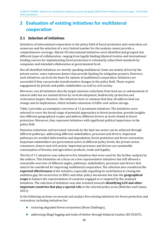## <span id="page-17-0"></span>**2 Evaluation of existing initiatives for multilateral cooperation**

#### <span id="page-17-1"></span>**2.1 Selection of initiatives**

Initiatives of international cooperation in the policy field of forest protection and restoration are numerous and the selection of a very limited number for the analysis cannot provide a comprehensive coverage. Almost 50 international initiatives were identified and grouped into different types of collaboration, ranging from legally binding bilateral treaties and international funding sources for implementing forest protection to voluntarily subscribed standards by companies and intended collaboration at governmental level.

Not all identified initiatives are strictly speaking multilateral. Some are mainly driven by the private sector; some represent donors that provide funding for mitigation projects. However, such initiatives can form the basis for options of multilateral cooperation. Initiatives are successful if they can provoke transformative changes in the policy field. These require engagement by private and public stakeholders as well as civil society.

Moreover, not all initiatives directly target emission reductions from land use or enhancement of natural sinks but are instead driven by rural development, biodiversity protection and restoration targets. However, the initiatives have in common that they all address land use change and its implications, which includes emissions of GHGs and carbon storage.

[Table 2](#page-18-0) provides an exemplary overview of 11 prominent initiatives. The initiatives were selected to cover the broad range of potential approaches to forest protection, provide insights into different geographical scopes and address different drivers at work related to forest protection. Moreover, they represent initiatives with significant political importance in the policy field.

Emission reductions and increased removals by the land use sector can be achieved through different pathways, addressing different stakeholders, processes and drivers. Important pathways are avoided deforestation and degradation, forest protection and forest restoration. Important stakeholders are government actors at different policy levels, the private sector, consumers, donors and civil society. Important processes and drivers are sustainable consumption of forestry and agriculture products, trade and legality.

The list of 11 initiatives was reduced to five initiatives that were used for the further analysis by the authors. This limitation set a focus on a few representative initiatives but still allowed a reasonable overview of different angles, pathways, stakeholders, processes and drivers that need to be considered for improving multilateral cooperation. The selection also considered the **expected effectiveness** of the initiative, especially regarding its contribution to closing the ambition gap, the occurrence in NDCs and other policy documents but also the **geographical scope** to balance the representation of countries engaged in or targeted by the analyzed initiatives. The selection of initiatives was also oriented towards **identifying G20 and other important countries that play a special role** in the selected policy areas (Böttcher and Cames, 2021).

In the following sections we present and analyse five existing initiatives for forest protection and restoration, including initiatives for:

- ► restoring degraded forest ecosystems (Bonn Challenge),
- ► addressing illegal logging and trade of timber through bilateral treaties (EU FLEGT),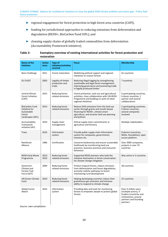- ► regional engagement for forest protection in high forest area countries (CAFI),
- ► funding for jurisdictional approaches to reducing emissions from deforestation and degradation (REDD+, BioCarbon Fund ISFL), and
- ► cleaning supply chains of globally traded commodities from deforestation (Accountability Framework initiative).

<span id="page-18-0"></span>

| Table 2: | Exemplary overview of existing international activities for forest protection and |
|----------|-----------------------------------------------------------------------------------|
|          | restoration                                                                       |

| Name of the<br>initiative                                                             | <b>Active</b><br>since | <b>Type of</b><br>initiative/activities<br>covered | <b>Focus</b>                                                                                                                                                                          | <b>Membership</b>                                                                                                                     |
|---------------------------------------------------------------------------------------|------------------------|----------------------------------------------------|---------------------------------------------------------------------------------------------------------------------------------------------------------------------------------------|---------------------------------------------------------------------------------------------------------------------------------------|
| <b>Bonn Challenge</b>                                                                 | 2011                   | Forest restoration                                 | Mobilizing political support and regional<br>initiatives to restore forests                                                                                                           | 61 countries                                                                                                                          |
| <b>EU FLEGT</b>                                                                       | 2003                   | Legality of timber<br>production and<br>trade      | Reducing illegal logging by strengthening<br>sustainable and legal forest management,<br>improving governance and promoting trade<br>in legally produced timber                       | 7 countries                                                                                                                           |
| Central African<br>Forest Initiative<br>(CAFI)                                        | 2015                   | Reducing forest<br>related emissions               | Forest protection, land use and agricultural<br>activities; close collaboration with UN-REDD<br>Programme and building on work of other<br>regional initiatives                       | 6 participating countries,<br>6 donor countries, 1<br>partner and several<br>collaborations                                           |
| <b>BioCarbon Fund</b><br>Initiative for<br>Sustainable<br>Forest<br>Landscapes (ISFL) | 2013                   | <b>Reducing forest</b><br>related emissions        | Reduce GHG emissions from the land use<br>sector through grants and results-based<br>financing for REDD+, climate smart<br>agriculture, and smarter land use planning<br>and policies | 5 participating countries,<br>5 donor countries,<br>several companies<br>involved                                                     |
| Accountability<br>Framework<br>initiative (AFi)                                       | 2019                   | Supply chain<br>management                         | Ethical supply chain commitments in<br>agriculture and forestry                                                                                                                       | Multiple stakeholders                                                                                                                 |
| Trase                                                                                 | 2016                   | Information<br>system                              | Provide public supply chain information<br>system for companies, governments,<br>investors etc.                                                                                       | 8 donors (countries,<br>NGOs, foundation), open<br>access platform                                                                    |
| Rainforest<br>Alliance                                                                | 1986                   | Certification                                      | Conserve biodiversity and ensure sustainable<br>livelihoods by transforming land use<br>practices, business practices and consumer<br>behaviour                                       | Over 5000 companies,<br>projects in over 70<br>countries                                                                              |
| <b>REDD Early Mover</b><br>Programme                                                  | 2012-<br>2019          | <b>Reducing forest</b><br>related emissions        | Supported REDD pioneers who took the<br>initiative themselves in forest conservation<br>for climate change mitigation                                                                 | Was active in 3 countries                                                                                                             |
| Governors'<br>Climate and<br><b>Forests Task</b><br>Force (GCF)                       | 2009                   | Reducing forest<br>related emissions               | Protect tropical forests, reduce emissions<br>from deforestation and forest degradation,<br>promote realistic pathways to forest-<br>maintaining rural development                    | 38 countries                                                                                                                          |
| <b>UN Green Climate</b><br>Fund                                                       | 2010                   | Reducing forest<br>related emissions               | Helping developing countries reduce their<br>greenhouse gas emissions and enhance<br>ability to respond to climate change                                                             | 25 countries                                                                                                                          |
| <b>Global Forest</b><br>Watch                                                         | 2014                   | Information<br>system                              | Providing data and tools for monitoring<br>forests to empower people to protect global<br>forests                                                                                     | Over 4 million users<br>(multiple actors), 9<br>funders (countries and<br>institutions), several<br>partners and founding<br>partners |

Source: own compilation.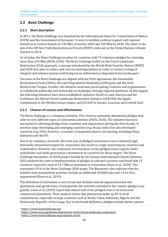### <span id="page-19-0"></span>**2.2 Bonn Challenge**

#### **2.2.1 Short description**

<span id="page-19-4"></span>In 2011, the Bonn Challenge was launch[e](#page-19-1)d by the International Union for Conservation of Nature (IUCN) and the Government of Germany1. It aims to mobilise political support and regional initiatives to restore forests on 150 Mha of land by 2020 and 350 Mha by 2030. The latter is the aim of the UN New York Declaration on Forests (NYDF) endorsed at the United Nations Climate Summit in 2014.

As of today, the Bonn Challenge involves 61 countries with 74 voluntary pledges for restoring more than 210 Mha (IUCN, 2020). The Bonn Challenge builds on the Forest Landscape Restoration (FLR) approach, a concept introduced by the World Wide Fund for Nature (WWF) and IUCN that aims to reduce and reverse land degradation in order to restore ecological integrity and enhance human well-being across deforested or degraded forest landscapes[2](#page-19-2).

<span id="page-19-5"></span>The aims of the Bonn Challenge are aligned with the Paris Agreement, the Sustainable Development Goals (SDGs), the Land Degradation Neutrality (LDN) goal, and the Aichi Biodiversity Targets. Further, the initiative motivates participating countries and organisations to collaborate politically and technically on challenges through regional platforms. In this regard, the following initiatives have been established: Initiative 20x20 in Latin America and the Caribbean, the African Forest Landscape Restoration Initiative (AFR100), the Agadir Commitment in the Mediterranean region, and ECCA30 in Europe, Caucasus and Central Asia[3](#page-19-3).

#### <span id="page-19-6"></span>**2.2.2 Chances of success and effectiveness**

The Bonn Challenge is a voluntary initiative. This involves nationally determined pledges that refer to very different types of restoration activities (IUCN, 2020). The initiative has been successful in collecting pledges from countries and organisation during the first decade. It involves large developing and emerging countries (e.g. Brazil, India) but also developed countries (e.g. USA). However, a number of important players are missing, including China, Indonesia and the EU.

Due to its voluntary character, the total sum of pledged restoration area is relatively high. Nationally determined targets for restoration also result in a high ownership by countries and stakeholders. However, the realization of restoration on the pledged areas requires multistakeholder and multi-governance commitment in countries for these targets. The Bonn Challenge Barometer, an IUCN project funded by the German International Climate Initiative (IKI) analysed the state of implementation of pledges in selected countries and found that 13 countries reported a total of 43.7 Mha in transition to restoration (Dave et al., 2019). This represents 29 % of the Bonn Challenge 2020 target. The Barometer also indicates that the benefits from documented activities include an additional 354,000 jobs and 1.4 Gt  $CO<sub>2</sub>e$ sequestered (Dave et al., 2019).

The definition of restoration is very broad and includes natural regeneration but also plantations and agroforestry. Consequently, the activities included in the country pledges vary greatly. Lewis et al. (2019) report that almost half of the pledged area is set to become commercial plantations. Their analysis shows that plantations make up 45 % of all commitments, especially in large countries such as Brazil, China, Indonesia, Nigeria and the Democratic Republic of the Congo. Due to the broad definition, pledges include timber species

<span id="page-19-2"></span><span id="page-19-1"></span>[<sup>1</sup>](#page-19-4) [https://www.bonnchallenge.org](https://www.bonnchallenge.org/) 

<span id="page-19-3"></span>[<sup>2</sup>](#page-19-6) <https://www.iucn.org/theme/forests/our-work/forest-landscape-restoration>

<sup>3</sup> <https://www.bonnchallenge.org/regional-action>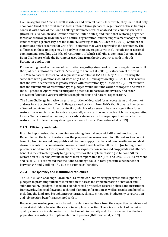like Eucalyptus and Acacia as well as rubber and even oil palms. Meanwhile, they found that only about one-third of the total area is to be restored through natural regeneration. These findings contrast with those of the Bonn Challenge Barometer, which analysed five countries in detail (Brazil, El Salvador, Mexico, Rwanda and the United States) and found that restoring degraded forest lands through silviculture and natural regeneration, and the improvement of agricultural lands through agroforestry, are the main FLR strategies (87 %, Dave et al. 2019). Commercial plantations only accounted for 2 % of FLR activities that were reported to the Barometer. The difference in these findings may lie partly in their coverage: Lewis et al. include other national commitments (totalling 292 Mha of restoration, of which 135 Mha is committed to under the Bonn Challenge), while the Barometer uses data from the five countries with in-depth Barometer application.

For assessing the effectiveness of restoration regarding storage of carbon in vegetation and soil, the quality of restoration matters. According to Lewis et al. (2019), restoration of the total 350 Mha to natural forests could sequester an additional 154 Gt  $CO<sub>2</sub>$  by 2100. Restoring the same area with plantations would store only 4 Gt  $CO<sub>2</sub>$ , and agroforestry 26 Gt  $CO<sub>2</sub>$ . This reveals that the level of effectiveness greatly varies with restoration type. Lewis et al. (2019) estimate that the current mix of restoration types pledged would limit the carbon storage to one third of the full potential. Apart from its mitigation potential, impacts on biodiversity and other ecosystem functions vary greatly between plantations and natural regeneration.

The Bonn Challenge initiative targets restoration of degraded forest ecosystems and does not address forest protection. The challenge earned criticism from NGOs that it diverts investment efforts of countries from forest protection, which is often seen to be more urgent than forest restoration as undisturbed forests are generally more carbon and species rich than regenerating forests. To increase effectiveness, critics advocate for an inclusive perspective that advances restoration of different ecosystem types, not only forests (Temperton et al., 2019).

#### **2.2.3 Efficiency and costs**

It can be hypothesised that countries are joining the challenge with different motivations. Depending on the type of restoration, the proposed measures result in different socioeconomic benefits, from increased crop yields and biomass supply to enhanced flood resilience and dust storm prevention. From estimated overall annual benefits of 84 billion USD (including wood products, non-timber forest products, carbon sequestration, increased crop yields and other cobenefits) the estimated yearly budget required for the implementation (36 billion USD for restoration of 150 Mha) would be more than compensated for (FAO and UNCCD, 2015). Verdone and Seidl (2017) estimated that the Bonn Challenge could in total generate a net benefit of between 0.7 and 9 trillion USD due to assumed co-benefits.

#### **2.2.4 Transparency and institutional structures**

The IUCN's Bonn Challenge Barometer is a framework for tracking progress and supporting pledgers in providing sufficient information to assess the implementation of national and subnational FLR pledges. Based on a standardized protocol, it records policies and institutional frameworks, financial flows and technical planning information as well as results and benefits, including the land area brought into restoration, climate mitigation, biodiversity conservation and job creation benefits associated with it.

However, measuring progress is based on voluntary feedback from the respective countries and other stakeholders, bearing the risk of incomplete reporting. There is also a lack of technical quality assurance in relation to the protection of biodiversity and the involvement of the local population regarding the implementation of pledges (Hillbrand et al., 2019).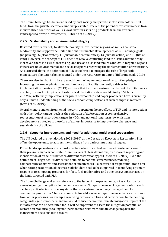The Bonn Challenge has been endorsed by civil society and private sector stakeholders. Still, funds from the private sector are underrepresented. There is the potential for stakeholders from industrialised countries as well as local investors sourcing products from the restored landscapes to provide investment (Hillbrand et al., 2019).

#### **2.2.5 Sustainability and environmental integrity**

Restored forests can help to alleviate poverty in low-income regions, as well as conserve biodiversity and support the United Nations Sustainable Development Goals — notably, goals 1 (no poverty), 6 (clean water), 11 (sustainable communities), 13 (climate action) and 15 (life on land). However, the concept of FLR does not resolve conflicting land use issues automatically. Moreover, there is a risk of increasing land use and also land tenure conflicts in targeted regions if there are no environmental and social safeguards regarding the implementation of restoration. As discussed above, the definition of FLR is too broad to mitigate the risk of large-scale monoculture plantations being counted under the restoration initiative (Hillbrand et al., 2019).

There are also feedbacks to be expected from the implementation of restoration pledges. Increasing the area of plantations could reduce profitability, currently a driver for implementation. Lewis et al. (2019) estimate that if current restoration plans of the initiative are enacted, the world's tropical and subtropical plantation estate would rise by 157 Mha to 237 Mha, with likely implications for prices of woodchip and paper products. There is currently only a limited understanding of the socio-economic implications of such changes in markets (Lewis et al., 2019).

Overall climate and environmental integrity depend on the net effects of FLR and its interactions with other policy targets, such as the reduction of deforestation. A comprehensive representation of restoration targets in NDCs and national long-term low emissions development strategies is therefore of utmost importance to improve the coherence and sustainability of policies.

#### **2.2.6 Scope for improvements and need for additional multilateral cooperation**

The UN declared the next decade (2021-2030) as the Decade on Ecosystem Restoration. This offers the opportunity to address the challenge from various multilateral angles.

Forest landscape restoration is most effective when disturbed lands are transferred close to their previous high-carbon state. There is a lack of clear definitions, transparent reporting and identification of trade-offs between different restoration types (Lewis et al., 2019). Even the definition of "degraded" is difficult and subject to national circumstances, reducing comparability of efforts and assessment of effectiveness. To better address potential trade-offs when setting restoration objectives, stakeholders need to be supported in identifying optimum responses to competing pressures for food, fuel, fodder, fibre and other ecosystem services on the lands targeted with FLR.

The Bonn Challenge makes no reference to the issue of non-permanence, a key criterion for assessing mitigation options in the land use sector. Non-permanence of regained carbon stock can be a particular issue for ecosystems that are restored as actively managed land for commercial production. There are concepts for addressing non-permanence that can be drawn from other processes, for example regarding carbon crediting and certification. Implementing safeguards against non-permanence would reduce the nominal climate mitigation impact of the initiative that can be accounted for. It will be important to assess the mitigation potential of restoration realistically, taking non-permanence risks from climate change impacts and management decisions into account.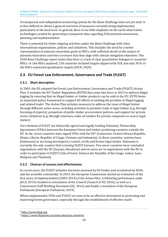A transparent and independent monitoring system for the Bonn Challenge does not yet exist. It is thus difficult to obtain a general overview of measures currently being implemented, particularly at the local level. In general, there is too little emphasis on the earth observation technologies needed for generating transparent data regarding FLR potential assessment, planning and implementation.

There is potential for better aligning activities under the Bonn Challenge with other international organisations, policies and initiatives. This includes the need for a better representation of national restoration goals in NDCs, with sufficient detail on the nature of planned restoration activities to ensure that they align with climate mitigation objectives. The 2020 Bonn Challenge report states that there is a lack of clear quantitative linkages to countries' NDCs: of 166 NDCs analysed, 128 countries included targets aligned with FLR, but only 30 % of the NDCs expressed quantitative targets (IUCN, 2020).

#### <span id="page-22-0"></span>**2.3 EU Forest Law Enforcement, Governance and Trade (FLEGT)**

#### **2.3.1 Short description**

<span id="page-22-3"></span>In 2003, the EU adopted the Forest Law Enforcement, Governance and Trade (FLEGT) Action Plan. It includes the EU Timber Regulation (EUTR) that came into force in 2013 to address illegal logging by ensuring that no illegal timber or timber products can be sold in the EU. EUTR forms an important pol[ic](#page-22-1)y framework to support EU efforts in tackling the problem of illegal logging and related trade4. The Action Plan includes measures to address the issue of illegal timber through different action areas, including activities to promote trade in legal timber (e.g. through licensing of exports), promotion of public timber procurement policies, and support for private sector initiatives (e.g. through voluntary codes of conduct for private companies to source legal timber).

<span id="page-22-4"></span>Core element of FLEGT are bilaterally agreed and legally binding Voluntary Partnership Agreements (VPAs) between the European Union and ti[mb](#page-22-2)er-producing countries outside the EU. So far, seven countries have signed VPAs with the EU5 (Cameroon, Central African Republic, Ghana, Liberia, Republic of Congo, Vietnam and Indonesia). In these countries, systems have (Indonesia) or are being developed to control, verify and license legal timber. Indonesia is currently the only country that is issuing FLEGT licenses. Two more countries have concluded negotiations with the EU (Guyana, Honduras) and six more are in negotiations with the EU in order to participate in FLEGT (Côte d'Ivoire, Democratic Republic of the Congo, Gabon, Laos, Malaysia and Thailand).

#### **2.3.2 Chances of success and effectiveness**

In recent years, the FLEGT initiative has been assessed by EU bodies and scrutinised by NGOs and the scientific community. In 2014, the European Commission started an evaluation of the first years of implementation (2003-2014) of the Action Plan. A following performance audit (ECA, 2015) resulted in conclusions of the Council (Council of EU, 2016), as well as a Commission Staff Working Document (EC, 2016) and finally a resolution of the European Parliament (European Parliament, 2019).

Where implemented, VPAs und FLEGT are seen to be an effective instrument in promoting and improving forest governance, especially through the establishment of effective multi-

<span id="page-22-2"></span><span id="page-22-1"></span>[4](#page-22-3) [http://www.flegt.org](http://www.flegt.org/)

<sup>5</sup> <https://www.flegtimm.eu/index.php/vpa-countries>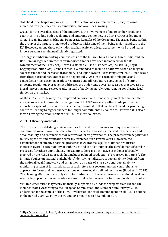stakeholder participation processes, the clarification of legal frameworks, policy reforms, increased transparency and accountability, and awareness raising.

Crucial for the overall success of the initiative is the involvement of major timber producing countries, including both developing and emerging economies. In 2019, FAO recorded India, China, Brazil, Indonesia, Ethiopia, Democratic Republic of the Congo and Nigeria as being within the group of the largest roundwood producers, with some of them being major suppliers to the EU. However, among those only Indonesia has achieved a legal agreement with EU, and major import streams remain insufficiently regulated.

The largest timber importing countries besides the EU are China, Canada, Korea, India, and the USA. Similar legal requirements for imported timber have been introduced for the US (Amendment of the Lacey Act), Korea (Sustainable Use of Timbers Act), Australia (Illegal Logging Prohibition Act), China (Forest Law amended to include a nationwide ban on illegally sourced timber and increased traceability) and Japan (Green Purchasing Law). FLEGT stands out from these national regulations as the negotiated VPAs aim to reconcile ambiguous and contradictory legislation in producer countries and fill regulatory gaps, instead of simply imposing regulation. Moreover, it addresses the underlying governance issues that give rise to illegal harvesting and related trade, instead of applying merely requirements for placing legal timber on the market.

As the VPA ensures legality to all exported, imported and domestically marketed timber, there are spill over effects through the recognition of FLEGT licenses by other trade partners. An important aspect of the VPA process is the high ownership that can be achieved for producing countries, leading to higher chances for longer commitments by countries. However, it is also a factor slowing the establishment of FLEGT to more countries.

#### **2.3.3 Efficiency and costs**

<span id="page-23-1"></span>The process of establishing VPAs is complex for producer countries and requires intensive communication and coordination between different authorities, improved transparency and accountability, and commitment for reforms of forest governance. The process from negotiations to VPA signature and ratification typically stretches over several years. However, the establishment of effective national processes to guarantee legality of timber production increases overall accountability of authorities and can also support the development of similar processes for other supply chains. For example, there is an initiative in Indonesia broadl[y](#page-23-0)  inspired by the FLEGT approach that includes palm oil production (Terpercaya Initiative<sup>6</sup>). The initiative builds on national stakeholders' identifying indicators of sustainability derived from the national legal framework and using them as a basis of a jurisdictional sustainability monitoring system. A jurisdictional approach refers to a government-led, comprehensive approach to forest and land use across one or more legally defined territories (Boyd et al., 2018). The cleaning effect on the supply chain for timber and achieved consensus at national level on what is legal production and trade can thus provide fertile grounds for other goods and markets.

VPA implementation is typically financially supported by funds for projects from EU and EU Member States. According to the European Commission-and Member State-Surveys 2015 undertaken in the context of the FLEGT evaluation, the total amount spent on all FLEGT actions in the period 2003–2014 by the EC and MS amounted to 882 million EUR.

<span id="page-23-0"></span><sup>6</sup> [https://www.euredd.efi.int/publications/demonstrating-and-promoting-district-level-sustainable](https://www.euredd.efi.int/publications/demonstrating-and-promoting-district-level-sustainable-commodity-production)[commodity-production](https://www.euredd.efi.int/publications/demonstrating-and-promoting-district-level-sustainable-commodity-production)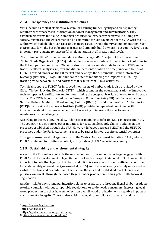CLIMATE CHANGE Options for multilateral initiatives to close the global 2030 climate ambition and action gap – Policy field forest protection

#### **2.3.4 Transparency and institutional structures**

VPAs include as central elements a system for assuring timber legality and transparency requirements for access to information on forest management and administration. They establish platforms for dialogue amongst producer country representatives, including civil society, businesses and government and a committee for joint oversight of the VPA with the EU, within which stakeholders can raise and manage issues around the VPA's implementation. Such instruments form the basis for transparency and similarly build ownership at country level as an important prerequisite for successful implementation at all institutional levels.

<span id="page-24-4"></span>The EU funded FLEGT Independent Market Monitoring (IMM)<sup>7</sup> project of the International Timber Trade Organization (ITTO) independently assesses tr[ad](#page-24-0)e and market impacts of VPAs in the EU and partner countries. IMM aims also to provide a reliable data basis on FLEGT timber trade. It collects, analyses, reports and disseminates information on acceptance and trends of FLEGT-licensed timber o[n t](#page-24-1)he EU market and develops the Sustainable Timber Information Exchange platform  $(STIX)<sup>8</sup>$ . IMM thus contributes to monitoring the impacts of FLEGT by tracking trade between EU and partners that results from FLEGT activities.

<span id="page-24-7"></span><span id="page-24-6"></span><span id="page-24-5"></span>Technical support to FLEGT for improve[d](#page-24-2) monitoring of timber trade is also provided by the Global Timber Tracking Network (GTTN)9, which promotes the operationalisation of innovative tools for species identification and for determining the geographic origin of wood to verify trade claims. The GTTN is coordinated by the European Forest Institute (EFI) and financed by the Germ[an](#page-24-3) Federal Ministry of Food and Agriculture (BMEL). In addition, the Open Timber Portal (OTP)10 by the World Resources Institute (WRI) provides independent country-specific information about forest management and harvesting to increase the effectiveness of regulations on illegal logging.

According to the EU FLEGT Facility, Indonesia is planning to refer to FLEGT in its second NDC. The country has also started other initiatives for sustainable supply chains, building on the processes established through the VPA. However, linkages between FLEGT and the UNFCCC processes under the Paris Agreement seem to be rather limited, despite potential synergies.

Stronger transnational linkages exist with the Central African Forest Initiative (CAFI), where FLEGT is referred to in letters of intent, e.g. by Gabon (FLEGT negotiating country).

#### **2.3.5 Sustainability and environmental integrity**

Access to the EU timber market is the motivation for producer countries to get engaged with FLEGT, and the development of legal timber markets is an explicit aim of FLEGT. However, it is important to note that legality of timber production is a necessary but not sufficient condition for sustainability of forest use (Jonsson et al., 2015) and issues of legality are only one aspect of global forest loss and degradation. There is thus the risk that established markets increase pressure on forests through increased (legal) timber production leading potentially to forest degradation.

Another risk for environmental integrity relates to producers redirecting illegal timber products to other countries without comparable regulations, or to domestic consumers. Increasing legal wood production can thus have net effects on overall wood production with negative impacts on environmental integrity. There is also a risk that legality compliance processes produce

<span id="page-24-1"></span><span id="page-24-0"></span>[<sup>7</sup>](#page-24-4) <https://www.flegtimm.eu/>

<span id="page-24-2"></span><sup>8</sup> <https://stix.global/>

<span id="page-24-3"></span><sup>9</sup> [https://globaltimbertrackingnetwork.org](https://globaltimbertrackingnetwork.org/)

[<sup>1</sup>](#page-24-6)[0](#page-24-7) <https://www.opentimberportal.org/>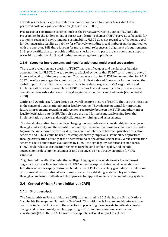advantages for large, export-oriented companies compared to smaller firms, due to the perceived costs of legality verification (Jonsson et al., 2015).

Private sector certification schemes such as the Forest Stewardship Council (FSC) and the Programme for the Endorsement of Forest Certification Schemes (PEFC) serve as safeguards for economic, social and environmental sustainability. FLEGT does not regard certification as a tool for demonstrating legality as liability for effectively excluding illegal timber from the market lies with the operator. Still, there is room for more mutual reference and alignment of requirements. Stringent certification can provide additional checks by third party organisations and support traceability and control of illegal timber not entering the supply chain.

#### **2.3.6 Scope for improvements and need for additional multilateral cooperation**

The recent evaluation and scrutiny of FLEGT has identified gaps and weaknesses but also opportunities for FLEGT. One gap relates to a lack of evidence that FLEGT contributes to overall increased legality of timber production. The new work plan for FLEGT implementation for 2018- 2022 therefore envisages the construction of an indicator-based framework for monitoring the global impact of the initiative and mechanisms to review progress on VPA negotiation and implementation. Recent research by CIFOR provides first evidence that VPA processes have contributed towards a decrease in illegal logging rates in Ghana and Indonesia (Cerrutti et al. 2020)

Zeitlin and Overdevest (2020) derive an overall positive picture of FLEGT. They see the initiative in the centre of a transnational timber legality regime. They identify potential for important future improvements regarding enforcement reciprocity between the EUTR and other timber legality legislation outside EU. They also see the need for more mutual learning from the implementation phase, e.g. through collaborative trainings and assessments.

The global information basis on illegal logging has been advanced considerably in recent years through civil society and the scientific community. To further increase the coherence of efforts to promote and enforce timber legality, more mutual references between private certification schemes and FLEGT could be useful to complementarily improve sustainability of practices through certification not only at the operator but also the overall sector level. While certification schemes could benefit from evaluations by FLEGT to align legality definitions in standards, FLEGT could relate to certification schemes to go beyond timber legality and include socioeconomic development standards and objectives as it is already an option for VPA countries.

To go beyond the effective reduction of illegal logging to reduced deforestation and forest degradation, closer linkages between FLEGT and other supply chains could be established. Initiatives on other supply chains can build on the FLEGT approach by grounding the definition of sustainability into national legal frameworks and establishing sustainability indicators through an inclusive multi-stakeholder process for application in national monitoring systems.

#### <span id="page-25-0"></span>**2.4 Central African Forest Initiative (CAFI)**

#### **2.4.1 Short description**

The Central African Forest Initiative (CAFI) was launched in 2015 during the United Nations Sustainable Development Summit in New York. This initiative is focussed on high-forest cover countries in Central Africa with the objective of protecting these forests to mitigate climate change and reduce poverty, while supporting REDD+ and low emission development investments (FAO 2020). CAFI aims to scale up international support to achieve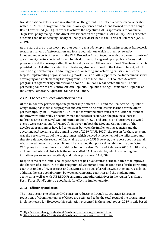transformational reforms and investments on the ground. The initiative works in collaboration with the UN-REDD Programme and builds on experiences and lessons learned from the Congo Basin Forest Fund (CBFF). In order to achieve the objective, CAFI's approach is to conduct a "high-level policy dialogue and direct investments on the ground" (CAFI, 2020). CAFI's expected outcomes and its underlying Theory of Change are described in the Terms of Reference (CAFI, 2019).

At the start of the process, each partner country must develop a national investment framework to address drivers of deforestation and forest degradation, which is then reviewed by independent experts. Afterwards, the CAFI Executive Board, together with the partner countries' government, create a Letter of Intent. In this document, the agreed upon policy reforms and programs, and the corresponding financial aid given by CAFI are determined. The financial aid is provided by CAFI after reaching the milestones, also determined in the Letter of Intent, which could be e.g. developing and adopting policies or setting and achieving emission reduction targets. Implementing organisations, e.g. Wo[rld](#page-26-0) Bank or FAO, support the partner countries with developing and implementing their programs<sup>11</sup>. As of June 2020, CAFI counte[d 2](#page-26-1)2 active programs in 6 partnering countries and about 219 million USD allocated funds12. The six partnering countries are: Central African Republic, Republic of Congo, Democratic Republic of the Congo, Cameroon, Equatorial Guinea and Gabon.

#### <span id="page-26-3"></span><span id="page-26-2"></span>**2.4.2 Chances of success and effectiveness**

Of the six country partnerships, the partnership between CAFI and the Democratic Republic of Congo (DRC) has made most progress and can provide helpful lessons learned for the other partnerships. By 2018, more than 70 % of the formulated milestones in the Letter of Intent of the DRC were either fully or partially met. In the forest sector, e.g. the provincial Forest Reference Emissions Level was submitted to the UNFCCC and studies on alternatives to wood energy were carried out (CAFI, 2020). However, in both the DRC and Gabon, some of the developed programmes have led to tensions between the implementing agencies and the government. According to the annual report of 2019 (CAFI, 2020), the reason for these tensions was the very slow start of the programmes, which delayed achievement of the milestones and therefore delayed the receipt of financial support by CAFI. However, the report does not explain what slowed down the process. It could be assumed that political instabilities are one factor. CAFI plans to address the issue of delays in their revised Terms of Reference 2020. Additionally, an identified internal obstacle is the understaffed CAFI Secretariat, which is affecting the initiatives performance negatively and delays processes (CAFI, 2020).

Despite some of the initial challenges, there are positive features of the initiative that improve the chances of success. Due to the geographical vicinity and similar conditions for the partnering countries under CAFI, processes and activities can be transferred between them more easily. In addition, the close collaboration between participating countries and the implementing agencies, as well as with UN-REDD Programme and other initiatives in the region (e.g. Congo Basin Forest Fund), offers a good basis for effective implementation.

#### **2.4.3 Efficiency and costs**

The initiative aims to achieve GHG emission reductions through its activities. Emissions reductions of 40 million tonnes of  $CO<sub>2</sub>$ eq are estimated to be the total result of the programmes implemented so far. However, this estimation presented in the annual report 2019 is only based

<span id="page-26-1"></span><span id="page-26-0"></span>[<sup>11</sup>](#page-26-2) <https://www.cafi.org/content/cafi/en/home/our-work/governance.html>

<sup>12</sup> <https://www.cafi.org/content/cafi/en/home/our-work/our-portfolio.html>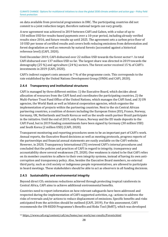on data available from provincial programmes in DRC. The participating countries did not commit to a joint reduction target, therefore national targets can vary greatly.

A new agreement was achieved in 2019 between CAFI and Gabon, with a value of up to 150 million USD for results-based payments over a 10-year period, including already verified results since 2016, and future results up until 2025. The agreement sets a carbon price floor of 10 USD per tonne of certified results and covers both reducing emissions from deforestation and forest degradation as well as removals by natural forests (accounted against a historical reference level) (CAFI, 2020).

<span id="page-27-1"></span>Until December 2019, CAFI disbursed over 22 million USD towards the forest sector<sup>13</sup>. In total CAFI disbursed over 137 million USD so far. The largest share was directed in 2019 [to](#page-27-0)wards the demography (25 %) and agriculture (24 %) sectors. The forest sector received 15 % of CAFI's investments in 2019 (CAFI, 2020).

CAFI's indirect support costs amount to 7 % of the programme costs. This corresponds to the rate established by the United Nations Development Group (UNDG and CAFI, 2020).

#### **2.4.4 Transparency and institutional structures**

CAFI is managed by three different entities: 1) the Executive Board, which decides about allocation of resources from the CAFI fund and coordinates the participating countries, 2) the Multi-Partner Trust Fund Office of the United Nations, which manages the CAFI fund, and 3) UN agencies, the World Bank as well as bilateral cooperation agencies, which organise the implementation of projects within the partnering countries. Next to the six Central African partnering countries, a coalition of donors including the European Union (EU), France, Norway, Germany, UK, Netherlands and South Korea as well as the south-south partner Brazil participate in the initiative. Until the end of 2019, only France, Norway and the EU made deposits to the CAFI Fund, but in 2019 funding commitments have been signed by Germany (30 million USD) and South Korea (2 million USD) (CAFI, 2020).

Transparent monitoring and reporting procedures seem to be an important part of CAFI's work. Annual reports, the Executive Board decisions as well as meeting protocols, progress reports of the partnerships and financial annual statements are easily available on the CAFI website. However, in 2020, Transparency International (TI) reviewed CAFI's internal procedures and concluded that the policies and practices of CAFI in regard to integrity, transparency and accountability show several weaknesses (TI, 2020). One weakness is stated to be that CAFI relies on its member countries to adhere to their own integrity systems, instead of having its own anticorruption and transparency policy. Also, besides the Executive Board members, no external third party, such as civil society or indigenous people representatives, are allowed to participate in board meetings. These stakeholders should be able to act as observers in all funding decisions.

#### **2.4.5 Sustainability and environmental integrity**

Beyond direct CO<sub>2</sub> emissions reductions achieved through protecting tropical rainforests in Central Africa, CAFI aims to achieve additional environmental benefits.

Countries need to report information on how relevant safeguards have been addressed and respected during the implementation of CAFI-supported activities, e.g.: actions to address the risks of reversals and/or actions to reduce displacement of emissions. Specific benefits and risks anticipated from the activities should be outlined (CAFI, 2019). For this assessment, CAFI recommends the UN-REDD Programme's Benefits and Risks Tool (BeRT), which was developed

<span id="page-27-0"></span>[<sup>13</sup>](#page-27-1) <https://www.cafi.org/content/cafi/en/home/our-work/our-results/Forests.html>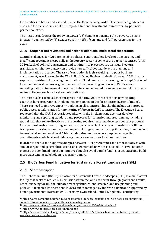<span id="page-28-5"></span>for countries to better address and respect the Cancun Safeguards<sup>14</sup>. The provided guidance is also used for the assessment of the proposed National Investment [Fr](#page-28-1)ameworks by potential partner countries.

<span id="page-28-6"></span>The init[iat](#page-28-2)ive addresses the following SDGs: (13) climate action and (1) no poverty as main impacts15, augmented by (5) gender equality, (15) life on land and (17) partnerships for the goals.

#### **2.4.6 Scope for improvements and need for additional multilateral cooperation**

<span id="page-28-7"></span>Central challenges for CAFI are instable political conditions, low levels of transparency and insufficient governance, especially in the forestry sector in some of the partner countries (CAFI 2020). Lack of political engagement and continuity of processes are an issue. Electoral transitions within the country can provide new difficulties and delays in planning and implementation processes. The risk of corruption is high, resulting i[n a](#page-28-3) poor business environment, as evidenced by the World Bank Doing Business Index16. However, CAFI already supports countries in improving the situation of land tenure, transparency, and simplification of forest and natural resources governance (such as permitting and taxing). CAFI's efforts regarding national investment plans need to be complemented by an engagement of the private sector in the region, both local and international.

The initiative has achieved most progress in the DRC. Only three of the six participating countries have programmes implemented or planned in the forest sector (Letter of Intent). There is a need to improve capacity building in all countries. This should include an improved public access to information for monitoring of forests in CAFI countries. The Executive Board requested that the CAFI Secretariat together with the implementing agencies develop monitoring and reporting standards and processes for countries and programmes, including spatial data that relate directly to the reporting requirements and develop a concept proposal for a comprehensive monitoring and evaluation system. Such a system is needed to facilitate transparent tracking of progress and impacts of programmes across spatial scales, from the field to provincial and national level. This includes also monitoring of compliance regarding commitments made by stakeholders, e.g. the private sector or local communities.

In order to enable and support synergies between CAFI programmes and other initiatives with similar targets and geographical scope, an alignment of activities is needed. This will not only increase the combined impact of initiatives but also avoid double funding of activities and build more trust among stakeholders, especially donors.

#### <span id="page-28-0"></span>**2.5 BioCarbon Fund Initiative for Sustainable Forest Landscapes (ISFL)**

#### **2.5.1 Short description**

<span id="page-28-8"></span>The BioCarbon Fund (BioCF) Initiative for Sustainable Forest Landscapes (ISFL) is a multilateral facility that seeks to reduce GHG emissions from the land use sector through grants and resultsbased fi[na](#page-28-4)ncing for REDD+, climate smart agriculture, and smarter land use planning and policies <sup>17</sup>. It started its operations in 2013 and is managed by the World Bank and supported by donor governments (Norway, USA, Germany, Switzerland, United Kingdom). Participating

<span id="page-28-2"></span><span id="page-28-1"></span><sup>14</sup> [https://anti-corruption.org/un-redd-programme-launches-benefits-and-risks-tool-bert-supporting](https://anti-corruption.org/un-redd-programme-launches-benefits-and-risks-tool-bert-supporting-countries-to-address-and-respect-the-cancun-safeguards/)[countries-to-address-and-respect-the-cancun-safeguards/](https://anti-corruption.org/un-redd-programme-launches-benefits-and-risks-tool-bert-supporting-countries-to-address-and-respect-the-cancun-safeguards/) 

<span id="page-28-3"></span>[<sup>15</sup>](#page-28-7) <https://www.cafi.org/content/cafi/en/home/our-work/SDG%20Action.html>

<span id="page-28-4"></span><sup>16</sup> <https://www.doingbusiness.org/en/rankings>

<sup>17</sup> [https://www.worldbank.org/en/news/feature/2013/11/20/biocarbon-fund-initiative-promote](https://www.worldbank.org/en/news/feature/2013/11/20/biocarbon-fund-initiative-promote-sustainable-forest-landscapes)[sustainable-forest-landscapes](https://www.worldbank.org/en/news/feature/2013/11/20/biocarbon-fund-initiative-promote-sustainable-forest-landscapes)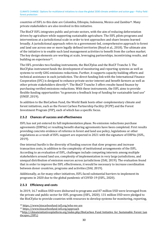<span id="page-29-3"></span>countries of ISFL to this date are Colombia, Ethiopia, Indonesia, Mexico and Zambia[18](#page-29-0). Many private stakeholders are also involved in this initiative.

The BioCF ISFL integrates public and private sectors, with the aim of reducing deforestation driven by agriculture while supporting sustainable agriculture. The ISFL pilots programs and interventions at a jurisdictional scale in order to test approaches and share lessons learned broadly. A jurisdictional approach refers to a government-led, comprehensive approach to forest and land use across one or more legally defined territories (Boyd et al., 2018). The ultimate aim of the initiative is to enable such land management activities to benefit from the carbon market. The key design eleme[nts](#page-29-1) are working at scale, leveraging partnerships, incentivizing results, and building on experience<sup>19</sup>.

<span id="page-29-5"></span><span id="page-29-4"></span>The ISFL provides two funding instruments, the BioCFplus and the BioCF Tranche 3. The BioCFplus instrument funds the development of monitoring and reporting systems as well as systems to verify GHG emissions reductions. Further, it supports capacity building efforts and technical assistance in each jurisdiction. The direct funding link with the International Finance Cooperation (IFC) is designed to e[nh](#page-29-2)ance private sector interest and benefit farmers as well as other private stakeholders directly20. The BioCF Tranche 3 offers results-based finance by purchasing verified emissions reductions. With these instruments, the ISFL aims to provide flexible funding opportunities "to generate a feedback loop of funding for sustainable land use" (UNEP, 2019).

In addition to the BioCarbon Fund, the World Bank hosts other complementary climate and forest initiatives, such as the Forest Carbon Partnership Facility (FCPF) and the Forest Investment Program (FIP), each of which has a specific focus.

#### **2.5.2 Chances of success and effectiveness**

ISFL has not yet entered its full implementation phase. No emission reductions purchase agreements (ERPAs) or resulting benefit-sharing agreements have been completed. First results providing concrete evidence of reforms in forest and land use policy, legislations or other regulations as a result of ISFL support are expected in 2021 with the signature of ERPAs (ISFL, 2019).

One internal hurdle is the diversity of funding sources that slow progress and increase transaction costs, in addition to the complexity of institutional arrangements of the ISFL. According to an evaluation of ISFL, challenges include competing interests among multiple stakeholders around land use, complexity of implementation in very large jurisdictions, and unequal distribution of emission sources across jurisdictions (DAI, 2019). The evaluation found that in order to improve the ISFL effectiveness, it would be necessary to increase coordination between donor countries, programs and activities (DAI, 2019).

Additionally, as for many other initiatives, ISFL faced substantial barriers to implement its programs in 2020 due to the global pandemic of COVID-19 (ISFL, 2020).

#### **2.5.3 Efficiency and costs**

In 2019, 16.7 million USD were disbursed to programs and 87 million USD were leveraged from the private and public sector for ISFL programs (ISFL, 2020). 131 million USD were pledged to the BioCF*plus* to provide countries with resources to develop systems for monitoring, reporting,

<span id="page-29-1"></span><span id="page-29-0"></span>[<sup>18</sup>](#page-29-3) <https://www.biocarbonfund-isfl.org/who-we-are>

<span id="page-29-2"></span><sup>19</sup> <https://www.biocarbonfund-isfl.org/approach>

<sup>&</sup>lt;sup>20</sup>[http://climateinitiativesplatform.org/index.php/BioCarbon\\_Fund\\_Initiative\\_for\\_Sustainable\\_Forest\\_Lan](http://climateinitiativesplatform.org/index.php/BioCarbon_Fund_Initiative_for_Sustainable_Forest_Landscapes_(ISFL)) dscapes (ISFL)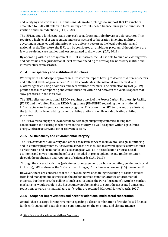and verifying reductions in GHG emissions. Meanwhile, pledges to support BioCF Tranche 3 amounted to USD 218 million in total, aiming at results-based finance through the purchase of verified emission reductions (ISFL, 2020).

The ISFL adopts a landscape-scale approach to address multiple drivers of deforestation. This requires a high level of engagement and cross-sectoral collaboration involving multiple government agencies and ministries across different sectors at the local, subnational and national levels. Therefore, the ISFL can be considered an ambitious program, although there are few pre-existing case studies and lesson-learned to draw upon (DAI, 2019).

By operating within an ecosystem of REDD+ initiatives, the ISFL is able to build on existing work and add value at the jurisdictional level, without needing to develop the necessary institutional infrastructure from scratch.

#### **2.5.4 Transparency and institutional structures**

Working with a landscape approach in a jurisdiction implies having to deal with different sectors and different levels of government. The ISFL coordinates international, multilateral, and bilateral agencies using a complex and decentralized structure. The evaluation by DAI (2019) pointed to issues of reporting and communication within and between the various agents that slow processes in the initiative.

The ISFL relies on the national REDD+ readiness work of the Forest Carbon Partnership Facility (FCPF) and the United Nations REDD Programme (UN-REDD) regarding the institutional infrastructure for large-scale land use programs. This allows the ISFL to concentrate efforts at the jurisdictional level, adding value to existing platforms, while not duplicating existing processes.

The ISFL aims to engage relevant stakeholders in participating countries, taking into consideration the existing mechanisms in the country, as well as agents within agriculture, energy, infrastructure, and other relevant sectors.

#### **2.5.5 Sustainability and environmental integrity**

The ISFL considers biodiversity and other ecosystem services in its overall design, monitoring and in-country programmes. Ecosystem services are included in several specific activities such as restoration and sustainable land use change as well as in site selection criteria. Social, economic and environmental benefits are included in project planning and implementation, through the application and reporting of safeguards (DAI, 2019).

<span id="page-30-1"></span>Through the covered activities (private sector engagement, carbon accounting, gender and s[oc](#page-30-0)ial inclusion), ISFL addresses the SDGs (2) zero hunger, (13) climate action and (15) life on land21.

However, there are concerns that the ISFL's objective of enabling the selling of carbon credits from land management activities on the carbon market cannot guarantee environmental integrity. Furthermore, the selling of such credits under the Paris Agreement's Article 6 market mechanisms would result in the host country not being able to count the associated emissions reductions towards its national target if credits are retained (Carbon Market Watch, 2020).

#### **2.5.6 Scope for improvements and need for additional multilateral cooperation**

Overall, there is scope for improvement regarding a closer combination of results-based finance funds with sustainable supply chain commitments on the one hand and climate finance

```
21 https://www.biocarbonfund-isfl.org/approach
```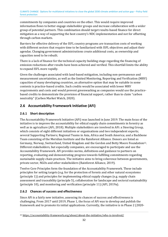commitments by companies and countries on the other. This would require improved information flows to better engage stakeholder groups and increase collaboration with a wider group of potential partners. This combination should target results-based finance for direct mitigation as a way of supporting the host country's NDC implementation and not for offsetting through carbon markets.

Barriers for effective delivery of the ISFL country programs are transaction costs of working with different sectors that require time to be familiarized with ISFL objectives and adjust their agendas. Changing government administrations create additional costs, as ownership and capacities need to be rebuilt.

There is a lack of finance for the technical capacity building stage regarding the financing of emission reductions after results have been achieved and verified. This shortfall limits the ability to expand ISFL more rapidly.

Given the challenges associated with land-based mitigation, including non-permanence and measurement uncertainties, as well as the limited Monitoring, Reporting and Verification (MRV) capacities of many developing countries, an alternative option that may be suitable in some contexts is practice-based credits. Such credits would be associated with lower MRV requirements and costs and would prevent greenwashing as companies would use the practicebased credits to demonstrate the provision of financial support, rather than to claim "carbon neutrality" (Carbon Market Watch, 2020).

#### <span id="page-31-0"></span>**2.6 Accountability Framework Initiative (AFi)**

#### **2.6.1 Short description**

<span id="page-31-2"></span>The Accountability Framework Initiative (AFi) was launched in June 2019. The main focus of the initiative is to improve the accountability for ethical supply chain commitments in forestry as well as in agriculture (AFi, 2018). Multiple stakeholders are involved in AFi: a Steering Group, which consists of eight different initiatives or organisations and two independent experts; several Supporting Partners; Regional Teams in Asia, Africa and South America; and a Backbone Team consisting of the Meridian Institute and the Rainforest Alliance. Donors are listed as Germany, Norway, Switzerland, United Kingdom and the Gordon and Betty Moore Foundation<sup>[22](#page-31-1)</sup>. Different stakeholders, but especially companies, are encouraged to participate and use the Accountability Framework. AFi provides norms, definitions and guidance to partners on reporting, evaluating and demonstrating progress towards fulfilling commitments regarding sustainable supply chain practices. The initiative aims to bring coherence between governments, private sector, NGOs and other stakeholders (Rainforest Alliance, 2019).

Twelve Core Principles form the foundation of the Accountability Framework. These include principles for setting targets (e.g. for the protection of forests and other natural ecosystems (principle 1)) and principles for implementing ethical supply changes (e.g. supply chain assessment and traceability (principle 5), collaboration for landscape and sectoral sustainability (principle 10), and monitoring and verification (principle 11) (AFI, 2019a).

#### **2.6.2 Chances of success and effectiveness**

Since AFi is a fairly new initiative, assessing its chances of success and effectiveness is challenging. From 2017 until 2019, Phase 1, the focus of AFi was to develop and publish the framework and to promote its initial applications. Currently, the initiative is in Phase 2 (2020-

<span id="page-31-1"></span><sup>&</sup>lt;sup>[22](#page-31-2)</sup> https://accountability-framework.org/about/about-the-initiative/who-is-involved/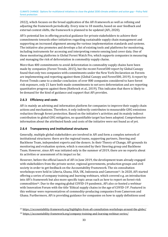2022), which focuses on the broad application of the AFi framework as well as refining and adjusting the framework periodically. Every nine to 18 months, based on user feedback and external context shifts, the framework is planned to be updated (AFi, 2020).

AFi's potential lies in offering practical guidance for private stakeholders to achieve their commitments towards other initiatives regarding sustainable supply chain management and supporting an increased alignment among the various implementation standards and systems. The initiative also promotes and develops a list of existing tools and platforms for monitoring, including instruments for accessing and interpreting remote sensing land cover data. One of those monitoring platforms is Global Forest Watch Pro, which supports companies in measuring and managing the risk of deforestation in commodity supply chains.

More than 400 commitments to avoid deforestation in commodity supply chains have been made by companies (Forest Trends, 2015), but the recent Forest500 report by Global Canopy found that only two companies with commitments under the New York Declaration on Forests are implementing and reporting against them (Global Canopy and Forest500, 2019). A report by Forest Trends came to a similar conclusion: of over 800 companies considered to have forest risk exposure, only 21 have both made commitments to net zero deforestation and are reporting quantitative progress against them (Rothrock et al., 2019). This indicates that there is likely to be demand for the kind of guidance and support that AFi provides.

#### **2.6.3 Efficiency and costs**

AFi is mainly an advising and information platform for companies to improve their supply chain actions and mechanisms. Therefore, it only indirectly contributes to measurable GHG emissions reduction through forest protection. Based on the initiative's activities and its mainly indirect contribution to global GHG mitigation, no quantifiable target has been adopted. Comprehensive information about the attributed funds and costs of the initiative were not found as of yet.

#### **2.6.4 Transparency and institutional structures**

Generally, multiple global stakeholders are involved in AFi and form a complex network of institutional structures: there are the regional teams, supporting partners, Steering and Backbone Team, independent experts and the donors. In their Theory of Change, AFi grounds its monitoring and evaluation system, which is executed by their Steering group and Backbone Team. However, since AFi was initiated only in the summer of 2019, there are no reports about its activities or assessment of its impact so far.

<span id="page-32-3"></span><span id="page-32-2"></span>However, before the official launch of AFi in June 2019, the development team already engaged with stakeholders from the private sector, regional governments, production groups and civil society in order to get feedback on the Accountability Framework. The six [co](#page-32-0)nsultation workshops were held in Liberia, Ghana, USA, UK, Indonesia and Cameroon23. In 2020, AFi started offering a series of company training and learning webinars, which covered e.g. an introduction into AFi's fra[m](#page-32-1)ework but also more specific topic areas such as how to report on forest-risk commodities24. Due to the ongoing global COVID-19 pandemic, AFi also co-hosted a webinar with Innovation Forum with the title 'Ethical supply chains in the age of COVID-19'. Featured in this webinar were representatives of commodity-producing companies from Cameroon and Ghana. Furthermore, AFi is providing guidance for companies on how to apply definitions used

<span id="page-32-1"></span><span id="page-32-0"></span><sup>&</sup>lt;sup>[23](#page-32-2)</sup> <https://accountability-framework.org/highlights-from-afi-consultation-workshops-around-the-globe/>

<sup>&</sup>lt;sup>[24](#page-32-3)</sup> <https://accountability-framework.org/company-training-and-learning-webinar-series/>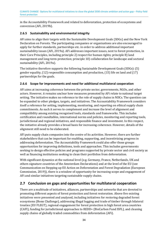in the Accountability Framework and related to deforestation, protection of ecosystems and conversion (AFi, 2019b).

#### **2.6.5 Sustainability and environmental integrity**

AFi aims to align their targets with the Sustainable Development Goals (SDGs) and the New York Declaration on Forests. The participating companies or organisations are also encouraged to apply for further standards, partnerships etc. in order to address additional important sustainability issues (AFi, 2019a). AFi addresses important issues, next to forest protection, in their Core Principles, including principle 2) respect for human rights; principle 8) land management and long-term protection; principle 10) collaboration for landscape and sectoral sustainability (AFi, 2019a).

The initiative therefore supports the following Sustainable Development Goals (SDGs): (5) gender equality, (12) responsible consumption and production, (15) life on land and (17) partnerships for the goals.

#### **2.6.6 Scope for improvements and need for additional multilateral cooperation**

AFi aims at increasing coherence between the private sector, governments, NGOs, and other actors. However, it remains unclear how measures promoted by AFi relate to national target setting. The initiative makes no reference to the role of supply chains in NDCs. The question can be expanded to other pledges, targets, and initiatives. The Accountability Framework considers itself a reference for setting, implementing, monitoring, and reporting on ethical supply chain commitments. As such it serves to complement and increase the level of alignment and compatibility among existing recognised tools, standards and frameworks. This includes certification and roundtables, international norms and policies, monitoring and reporting tools, jurisdictional and regional initiatives, and responsible finance and investment. In this respect, the initiative already provides a broad basis for increasing coherence. However, details of the alignment still need to be elaborated.

AFi puts supply chain companies into the centre of its activities. However, there are further stakeholders that can be important for enabling, supporting, and incentivizing progress in addressing deforestation. The Accountability Framework could also offer those groups opportunities for improving definitions, tools and approaches. This includes governments seeking to design effective policies and programs supported by private sector and civil society as well as financing institutions seeking to clean their portfolios from deforestation.

With significant dynamics at the national level (e.g. Germany, France, Netherlands, UK and others signature countries of the Amsterdam Declarations) and at the level of the EU (see Communication on Stepping up EU Action on Deforestation and Forest Degradation (European Commission, 2019)), there is a window of opportunity for increasing scope and engagement of AFi and similar initiatives targeting sustainable supply chains.

#### <span id="page-33-0"></span>**2.7 Conclusion on gaps and opportunities for multilateral cooperation**

There are a multitude of initiatives, alliances, partnerships and networks that are devoted to promoting different aspects of forest protection and forest restoration. Above five existing initiatives were presented and analysed, including initiatives for restoring degraded forest ecosystems (Bonn Challenge), addressing illegal logging and trade of timber through bilateral treaties (EU FLEGT), regional engagement for forest protection in high forest area countries (CAFI), funding for jurisdictional approaches to REDD+ (BioCarbon Fund ISFL), and cleaning supply chains of globally traded commodities from deforestation (AFi).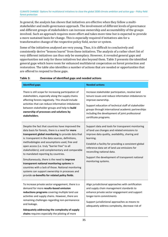In general, the analysis has shown that initiatives are effective when they follow a multistakeholder and multi-governance approach. The involvement of different levels of governance and different groups of stakeholders can increase ownership and accountability of the groups involved. Such an approach requires more effort and takes more time but is expected to provide a more sustained basis for change. This is especially required if initiatives aim for a transformative change of the respective policy field, sector or system.

Some of the initiatives analysed are very young. Thus, it is difficult to conclusively and consistently derive "lessons learnt" from these initiatives. The analysis of a rather short list of very different initiatives can thus only be exemplary. However, it revealed general gaps and opportunities not only for these initiatives but also beyond them. [Table 3](#page-34-0) presents the identified general gaps which leave room for enhanced multilateral cooperation on forest protection and restoration. The table also identifies a number of actions that are needed or opportunities that are offered to respond to these gaps.

| <b>Identified gaps</b>                                                                                                                                                                                                                                                                                                                                                                                                                                                                                                                                                                                                                                               | <b>Needed actions</b>                                                                                                                                                                                                                                                                                                                                                               |  |  |
|----------------------------------------------------------------------------------------------------------------------------------------------------------------------------------------------------------------------------------------------------------------------------------------------------------------------------------------------------------------------------------------------------------------------------------------------------------------------------------------------------------------------------------------------------------------------------------------------------------------------------------------------------------------------|-------------------------------------------------------------------------------------------------------------------------------------------------------------------------------------------------------------------------------------------------------------------------------------------------------------------------------------------------------------------------------------|--|--|
| There is still scope for increasing participation of<br>stakeholders, especially along the supply chains<br>affecting forests negatively. This should include<br>activities that can reduce information imbalances<br>between stakeholder groups and help to build<br>ownership of processes and solutions by<br>stakeholders.                                                                                                                                                                                                                                                                                                                                       | Increase stakeholder participation, resolve land<br>tenure issues and reduce information imbalances to<br>improve ownership.<br>Support education of technical staff of stakeholder<br>groups through international academic partnerships<br>including the development of joint professional<br>certificate programs.                                                               |  |  |
| Despite the fact that countries have improved the<br>data basis for forests, there is a need for more<br>transparent global monitoring to provide data that<br>is: transparent in the data sources, definitions,<br>methodologies and assumptions used, free and<br>open access (i.e. truly "barrier free" to all<br>stakeholders); and complementary and comparable<br>to mandated reporting by countries.<br>Simultaneously, there is the need to improve<br>transparent national monitoring systems in<br>countries with a lack of those. National monitoring<br>systems can support ownership in processes and<br>provide co-benefits for related policy fields. | Support data and tools for transparent monitoring<br>of land use changes and related emissions to<br>improve data quality, availability, sharing and<br>learning.<br>Establish a facility for providing a consistent global<br>reference data set of land use emissions for<br>reconciling national data.<br>Support the development of transparent national<br>monitoring systems. |  |  |
| To increase private sector engagement, there is a<br>demand for more results-based emission<br>reductions programs covering multiple land use<br>activities and supply chains. However, there are<br>remaining challenges regarding non-permanence<br>and leakage.<br>Adequately addressing the complexity of supply<br>chains requires especially the piloting of more                                                                                                                                                                                                                                                                                              | Align jurisdictional approaches with certification<br>and supply chain management standards to<br>enhance private sector engagement and support<br>longer-term commitments<br>Support jurisdictional approaches as means to<br>adequately address complexity, decrease risk of                                                                                                      |  |  |

#### <span id="page-34-0"></span>**Table 3: Overview of identified gaps and needed actions**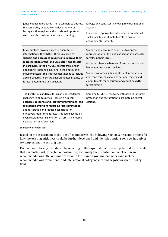| jurisdictional approaches. These can help to address<br>the complexity adequately, reduce the risk of<br>leakage within regions and provide an important<br>step towards consistent national accounting.                                                                                                                                                                                                                                                                  | leakage and consistently moving towards national<br>accounts.<br>Embed such approaches adequately into national<br>sustainability and climate targets to ensure<br>environmental integrity.                                                                                                                                                                                                        |
|---------------------------------------------------------------------------------------------------------------------------------------------------------------------------------------------------------------------------------------------------------------------------------------------------------------------------------------------------------------------------------------------------------------------------------------------------------------------------|----------------------------------------------------------------------------------------------------------------------------------------------------------------------------------------------------------------------------------------------------------------------------------------------------------------------------------------------------------------------------------------------------|
| Few countries provided specific quantitative<br>information in their NDCs. There is a need to<br>support and encourage countries to improve their<br>representation of the land use sector, and forests<br>in particular, in their NDCs, separate from and in<br>addition to reducing emissions in the energy and<br>industry sectors. This improvement needs to include<br>also safeguards to ensure environmental integrity of<br>forest related mitigation activities. | Support and encourage countries to improve<br>representation of the land use sector, in particular<br>forests, in their NDCs.<br>Increase coherence between forest protection and<br>landscape restoration pledges.<br>Support countries in taking stock of international<br>goals and targets, as well as national targets and<br>commitments for consistent and ambitious NDC<br>target setting. |
| The COVID-19 pandemic forms an unprecedented<br>challenge to all countries. There is a risk that<br>economic response and recovery programmes lead<br>to reduced ambitions regarding forest protection<br>and restoration and reduced capacities for<br>effectively monitoring forests. This could eventually<br>even result in overexploitation of forests, increased<br>degradation and forest loss.                                                                    | Combine COVID-19 recovery with policies for forest<br>protection and restoration to promote no-regret<br>options.                                                                                                                                                                                                                                                                                  |

Source: own compilation.

Based on the assessment of the identified initiatives, the following Section 3 presents options for how the existing initiatives could be further developed and identifies options for new initiatives to complement the existing ones.

Each option is briefly introduced by referring to the gaps that it addresses, potential constraints that currently exist, expected opportunities, and finally the potential course of action and recommendations. The options are tailored for German government actors and include recommendations for national and international policy makers and negotiators in the policy field.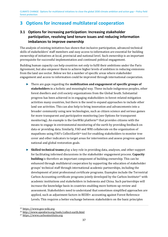### <span id="page-36-0"></span>**3 Options for increased multilateral cooperation**

#### <span id="page-36-1"></span>**3.1 Options for increasing participation: Increasing stakeholder participation, resolving land tenure issues and reducing information imbalances to improve ownership**

The analysis of existing initiatives has shown that inclusive participation, advanced technical skills of stakeholders' staff members and easy access to information are essential for building ownership of initiatives at local, provincial and national level. Such ownership is an important prerequisite for successful implementation and continued political engagement.

Building human capacity can help countries not only to fulfil their ambitions under the Paris Agreement, but also empower them to achieve higher levels of ambition in reducing emissions from the land use sector. Below we list a number of specific areas where stakeholder engagement and access to information could be improved through international cooperation.

- <span id="page-36-5"></span>► There are gaps regarding the **mobilization and engagement of specific groups of stakeholders** in a holistic and meaningful way. These include indigenous peoples, other forest dwellers and civil society organizations from the Global South. Substantial progress has been achieved in in engaging stakeholders in forest-related mitigation activities many countries, but there is the need to expand approaches to include other land use activities. This can also help to bring innovation and advancements into a broader community using new technologies, such as citizen science and serious games for more transparent and participative monitori[ng](#page-36-2) (see Options for transparent monitoring). An example is the GeoWiki platform25 that provides citizens with the means to engage in environmental monitoring of the earth by providing feedback on data or providing data. Similarly, FA[O](#page-36-3) and WRI collaborate on the organization of mapathons using FAO's CollectEarth26 tool for enabling stakeholders to monitor tree cover and other indicators to target areas for intervention and assess progress against national and global restoration goals.
- <span id="page-36-7"></span><span id="page-36-6"></span>► **Skilled technical teams** play a key role in providing data, analyses, and other support for facilitating informed discussions in the stakeholder engagement process. **Capacity building** is therefore an important component of building ownership. This can be enhanced through multilateral cooperation by supporting the education of stakeholder groups' technical staff through international academic partnerships, including the development of joint professional certificate programs. Examples include the Ter[res](#page-36-4)trial Carbon Accounting certificate programs jointly developed by the Carbon Institute27 with academic institutions and stakeholders in Indonesia and China. Such partnerships will increase the knowledge basis in countries enabling more bottom-up review and assessment. Stakeholders need to understand that sometimes simplified approaches are applied, such as adjustment factors in REDD+ accounting against Forest Reference Levels. This requires a better exchange between stakeholders on the basic principles

<span id="page-36-3"></span><span id="page-36-2"></span>[<sup>25</sup>](#page-36-5) [https://www.geo-wiki.org](https://www.geo-wiki.org/) 

<span id="page-36-4"></span>[<sup>26</sup>](#page-36-7) <http://www.openforis.org/tools/collect-earth.html>

<sup>27</sup> [https://www.carboninstitute.org](https://www.carboninstitute.org/)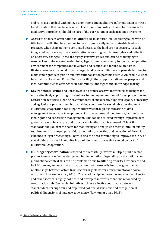and rules used to deal with policy assumptions and qualitative information, in contrast to information that can be measured. Therefore, standards and rules for dealing with qualitative approaches should be part of the curriculum of such academic programs.

- ► Access to finance is often bound to **land titles**. In addition, stakeholder groups with no title to land will often be unwilling to invest significantly into sustainable land use practices when their rights to continued access to the land are not secured. As such, integrated land use requires consideration of existing land tenure rights and reflection on necessary changes. These are highly sensitive issues and can be challenging to resolve. Land reforms are needed to lay legal grounds, necessary to clarify the operating environment for companies and investors and reduce land tenure-related risks. Bilateral cooperation could directly target land reform initiatives or provide funding to make land rights recognition and institutiona[lis](#page-37-0)ation possible at scale. An example is the International Land and Forest Tenure Facility28 that supports indigenous peoples and local communities to advance their community land rights and knowledge sharing.
- <span id="page-37-1"></span>► **Environmental crime** and unresolved land tenure are two interlinked challenges for more effectively supporting stakeholders in the implementation of forest protection and restoration activities. Fighting environmental crime directly supports legality of forestry and agriculture products and is an enabling condition for sustainable development. Multilateral cooperation can support initiatives through digitalization of data management to increase transparency of processes around land tenure, land reforms, land rights and concession management. This can be achieved through improved data governance within a secure and transparent institutional framework. Scientific standards should form the basis for monitoring and analysis to meet minimum quality requirements for the purpose of documentation, reporting and collection of forensic evidence in legal proceedings. There is also the need for funding to improve security of stakeholders involved in monitoring violations and abuses that should be part of multilateral cooperation.
- ► **Multi-agency coordination** is needed to successfully involve multiple public sector parties to ensure effective design and implementation. Depending on the national and jurisdictional context this can be problematic due to differing priorities, resources and foci. Moreover, enhanced coordination does not necessarily improve governance relationships between actors from sectors or yield better environmental and social outcomes (Ravikumar et al., 2018). The relationship between the environmental sector and other sectors is highly political and divergent interests cannot be reconciled by coordination only. Successful initiatives achieve effective coordinate between stakeholders, through fair and organized political discussions and recognition of political dimensions of land use governance (Ravikumar et al., 2018).

<span id="page-37-0"></span>[<sup>28</sup>](#page-37-1) [https://thetenurefacility.org](https://thetenurefacility.org/)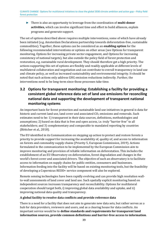► There is also an opportunity to leverage from the coordination of **multi-donor activities,** which can involve significant time and effort to build alliances, explain programs and generate support.

The set of options described above requires multiple interventions, some of which have already been initiated (e.g. Amsterdam Declarations partnership towards deforestation-free, sustainable commodities). Together, these options can be considered as an **enabling option** for the following recommended interventions or options on other areas (see Options for transparent monitoring, Options for increasing private sector engagement, and Options for increasing consistency of national targets), but also outside the policy field of forest protection and restoration, e.g. sustainable rural development. They should therefore get a high priority. The actions supporting this set of options are flexibly and readily applicable at different levels of multilateral collaboration and negotiation and can contribute to overall transparency in land use and climate policy, as well as increased sustainability and environmental integrity. It should be noted that such actions only address GHG emission reductions indirectly. Further, the interventions need to be long-term since those processes take time.

#### <span id="page-38-0"></span>**3.2 Options for transparent monitoring: Establishing a facility for providing a consistent global reference data set of land use emissions for reconciling national data and supporting the development of transparent national monitoring systems**

An important basis for forest protection and sustainable land use initiatives in general is data for historic and current land use, land cover and associated  $CO<sub>2</sub>$  emissions and removals. Such estimates need to be: 1) transparent in their data sources, definitions, methodologies and assumptions; 2) based on data that is free and open access, i.e. truly "barrier free" to all stakeholders; and 3) complementary and comparable to mandated reporting by countries (Böttcher et al., 2018).

The EU identified in its Communication on stepping up action to protect and restore forests a priority to provide support for increasing the availability of, quality of, and access to information on forests and commodity supply chains (Priority 5, European Commission, 2019). Actions formulated in the communication to be implemented by the European Commission aim to improve monitoring and provision of reliable information on deforestation. This includes the establishment of an EU Observatory on deforestation, forest degradation and changes in the world's forest cover and associated drivers. The objective of such an observatory is to facilitate access to information on supply chains for public entities, consumers and businesses. Information feeding into the facility will be based on existing monitoring tools, but the feasibility of developing a Copernicus REDD+ service component will also be explored.

Remote sensing technologies have been rapidly evolving and can provide high resolution wallto-wall assessments of land cover and land use. Such spatially explicit monitoring based on independent sources increases transparency and reconcilability. Options for multilateral cooperation should target both, i) improving global data availability and uptake, and ii) improving national data quality and transparency.

#### **A global facility to resolve data conflicts and provide reference data**

There is a need for a facility that does not aim to generate new data sets, but rather serves as a hub for data providers, reviewers and users, and as a clearing house for data conflicts. An important service would be to **define standards and requirements for transparent land information sources, provide common definitions and barrier-free access to information**.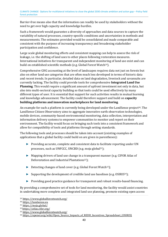Barrier-free means also that the information can readily be used by stakeholders without the need to get over high capacity and knowledge hurdles.

Such a framework would guarantee a diversity of approaches and data sources to capture the variability of natural processes, country-specific conditions and uncertainties in methods and measurements. The estimates provided would be consolidated and made comparable and consistent with the purpose of increasing transparency and broadening stakeholder participation and confidence.

<span id="page-39-6"></span>Large scale global monitoring efforts and consistent mapping can help to assess the risk of leakage, i.e. the shifting of land uses to other places following restoration measures. International initiatives for transparent and independent monit[ori](#page-39-0)ng of land use exist and can build on established scientific methods (e.g. Global Forest Watch<sup>29</sup>).

Comprehensive GHG accounting at the level of landscapes requires data not just on forests but also on other land use categories that are often much less developed in terms of historic data and recent trends. In particular, detailed data on land degradation, livestock and savannahs are currently lacking. The facility could provide tools for comprehensive **Integrated Land Use Planning**. This would require a significant amount of upfront investment not only in data, but also into multi-sectoral capacity building so that tools could be used effectively by many different types of user. It is essential that support for such activities results in mutual learning and knowledge advancement. The facility could therefore support and build on **capacity building platforms and innovation marketplaces for land monitoring**.

<span id="page-39-7"></span>An example for such a platform is currently being developed under the LandSense project<sup>30</sup>. The LandSense Citizen Observatory aims to aggregate innovative earth observation technolog[ies](#page-39-1), mobile devices, community-based environmental monitoring, data collection, interpretation and information delivery systems to empower communities to monitor and report on their environment. The facility would focus on bringing such tools into a consistent framework and allow for compatibility of tools and platforms through setting standards.

The following tools and processes should be taken into account (existing examples of applications that a global facility could build on are given in parentheses):

- <span id="page-39-8"></span>► Providing accurate, complete and consistent data to [fa](#page-39-2)cilitate reporting under UN processes, such as UNFCCC, UNCBD (e.g. moja global31);
- <span id="page-39-9"></span>► Mapping drivers of land use change in a [tra](#page-39-3)nsparent manner (e.g. CIFOR Atlas of Deforestation and Industrial Plantations<sup>32</sup>);
- <span id="page-39-10"></span>► Detecting changes of land cover (e.g. Global Forest Watch[33](#page-39-4));
- <span id="page-39-11"></span>► Supporting the development of credible land use baselines (e.g. OSIRIS[34](#page-39-5));
- ► Providing good practice guidance for transparent and robust results-based financing.

By providing a comprehensive set of tools for land monitoring, the facility would assist countries in undertaking more complete and integrated land use planning, promote existing open access

<span id="page-39-1"></span><span id="page-39-0"></span><sup>29</sup> <https://www.globalforestwatch.org/>

<span id="page-39-2"></span>[<sup>30</sup>](#page-39-6) [https://landsense.eu](https://landsense.eu/)

<span id="page-39-3"></span>[<sup>31</sup>](#page-39-9) <https://moja.global/>

<span id="page-39-4"></span>[<sup>32</sup>](#page-39-10) https://atlas.cifor.org/

<span id="page-39-5"></span>[<sup>33</sup>](#page-39-11) <https://www.globalforestwatch.org/>

<sup>&</sup>lt;sup>34</sup> [https://openei.org/wiki/Open\\_Source\\_Impacts\\_of\\_REDD\\_Incentives\\_Spreadsheet\\_\(OSIRIS\)](https://openei.org/wiki/Open_Source_Impacts_of_REDD_Incentives_Spreadsheet_(OSIRIS))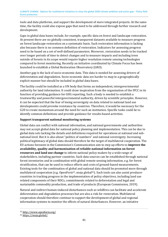tools and data platforms, and support the development of more integrated projects. At the same time, the facility could also expose gaps that need to be addressed through further research and development.

Gaps in global data bases include, for example, specific data on forest and landscape restoration. At present there are no globally consistent, transparent datasets available to measure progress on forest landscape restoration on a systematic basis. Such restoration information is lacking also because there is no common definition of restoration. Indicators for assessing progress need to be based on a set of well-defined parameters. Moreover, restoration needs to be tracked over longer periods of time to detect changes and to measure impacts and including trees outside of forests in its scope would require higher resolution remote sensing technologies compared to forest monitoring. Recently an initiative coordinated by Climate Focus has been launched to establish a Global Restoration Observatory (GRO).

Another gap is the lack of socio-economic data. This data is needed for assessing drivers of deforestation and degradation. Socio-economic data are harder to map in a geographically explicit manner but should be included in global data bases.

The facility could be installed as a UN body that forms an independent, intergovernmental authority for land information. It could draw inspiration from the organisation of the IPCC in its function of providing guidance for GHG reporting. Such a body is needed to establish a trustworthy and powerful intergovernmental authority, driven by scientific principles. However, it can be expected that the fear of losing sovereignty on data related to national land use developments could provoke resistance by countries. Therefore, it would be necessary for the G20 to create momentum around the need for such an institution. Specific tasks could be to identify common definitions and provide guidance for results-based activities.

#### **Support transparent national monitoring systems**

Global data can conflict with national information, and national governments and authorities may not accept global data for national policy planning and implementation. This can be due to global data sets lacking the details and definitions required for operations at national and subnational level. But it is also about "politics of numbers" and national sovereignty. Increasing political legitimacy of global data should therefore be the target of multilateral cooperation. The EU actions foreseen in the Commission's Communication aim to step up efforts to **improve the availability, quality and harmonization of reliable national information on forest resources and land use change** to inform national policy makers by a wide range of stakeholders, including partner countries. Such data sources can be established through national forest inventories and in combination with global remote sensing information, e.g. for forest stratification, that can be used to reduce efforts and costs of ground-based measurements. Existing tools for the combination of glo[ba](#page-40-0)l and natio[nal](#page-40-1) data should be promoted more through multilateral cooperation (e.g. OpenForis<sup>35</sup>, moja global<sup>36</sup>). Such tools can also assist producer countries in tracking progress in the implementation of policy objectives, including land use related components of their NDCs, commitments related to deforestation and legal and sustainable commodity production, and trade of products (European Commission, 2019).

<span id="page-40-3"></span><span id="page-40-2"></span>Natural and indirect human-induced disturbances such as wildfires can facilitate and accelerate deforestation and degradation processes but are also a risk for restoration. Multilateral cooperation should therefore continue to support the development of global and regional information systems to monitor the effects of natural disturbances. However, an initiative

<span id="page-40-1"></span><span id="page-40-0"></span>[<sup>35</sup>](#page-40-2) <http://www.openforis.org/>

<sup>36</sup> <https://moja.global/>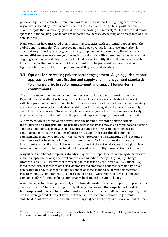<span id="page-41-2"></span>proposed by France at the G7 summit in Biarritz aimed to support firefighting in the Amazon region was rejected by Brazil who considered the initiative to be interf[er](#page-41-1)ing with national affairs, despite the evidence by global data of accelerating fire intensity37. This shows that efforts spent for "nationalising" global data are important to increase ownership and acceptance of such data sources.

Many countries have increased their monitoring capacities, with substantial support from the global donor community. The improved national data coverage for land-use and carbon is essential for promoting accuracy, consistency, completeness and comparability of land use related GHG emission estimates, e.g. through provision of credible baselines and assessment of ongoing activities. Stakeholders involved in land use sector mitigation activities rely on such information for their own goals, that ideally should also be perceived as transparent and legitimate by others and thus support accountability of all stakeholders.

#### <span id="page-41-0"></span>**3.3 Options for increasing private sector engagement: Aligning jurisdictional approaches with certification and supply chain management standards to enhance private sector engagement and support longer-term commitments**

The private sector plays an important role in successful initiatives for forest protection. Regulations can be effective, but regulation alone will not achieve sustainable land use at a sufficient pace. Convening and convincing private sector actors to work toward complimentary goals seems promising, but centralized institutions for bringing all parties in a given supply chain together are lacking. Moreover, implementing changes in the private sector effectively means that sufficient information on the potential impacts of supply chains will be needed.

All reviewed forest protection initiatives have the potential for **more private sector mobilization and integration**. The private sector globally has moved at a rapid pace to develop a better understanding of how their activities are affecting forests and how businesses can continue under stricter regulations of forest protection. There are already a number of commitments in many supply countries. However, progress in implementing and reporting on commitments has been more limited, and commitments for forest protection alone are insufficient. Corporations would benefit from support at the national, regional and global levels to understand what can be done to adopt improved sustainability across all their activities.

A significant number of companies already recognize the importance of reducing deforestation in their supply chains of agricultural and wood commodities. A report by Supply Change (Rothrock et al., 2019)shows that most companies tracked by the initiative (753 out of 866) faced some form of forest-related risk, demonstrated ambition to address commodity-driven deforestation, and/or engaged in key actions to address commodity-driven deforestation. Private voluntary commitments to address deforestation were reported for 484 of the 866 companies (56 %) across palm oil, timber, soy, beef and other supply chains.

A key challenge for cleaning the supply chain from deforestation is the complexity of production chains and trade. There is the opportunity, through **increasing the scope from forests to landscapes and projects to jurisdictional levels**, to address the challenges of complexity that are too often ignored at project level. In that sense, jurisdictional approaches (i.e. multistakeholder initiatives with jurisdiction-wide targets) can be the opposite of a silver bullet –they

<span id="page-41-1"></span><sup>37</sup> It has to be noted that also data of the National Institute for Space Research (INPE) reported an increase [in](#page-41-2) fire and deforestation intensity in Brazil.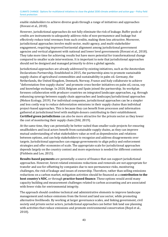enable stakeholders to achieve diverse goals through a range of initiatives and approaches (Hovani et al., 2018).

However, jurisdictional approaches do not fully eliminate the risk of leakage. Buffer pools of credits are instruments to adequately address risks of non-permanence and leakage but effectively reduce total revenues from such credits, making them less attractive. Moreover, jurisdictional approaches involve multi-sector, multi-agency, and multi-stakeholder engagement, requiring improved horizontal alignment among jurisdictional government agencies and vertical alignment with national and lower level governments (Hovani et al., 2018). They take more time for achieving results but have more potential for transformational change compared to smaller scale interventions. It is important to note that jurisdictional approaches should not be designed and managed primarily to drive a global agenda.

Jurisdictional approaches are already addressed by existing initiatives, such as the Amsterdam Declarations Partnership. Established in 2015, the partnership aims to promote sustainable supply chains of agricultural commodities and sustainability in palm oil. Germany, the Netherlands, the United Kingdom, Denmark, Norway, France and Italy collaborate to achieve "deforestation-free supply chains" and promote cross-border initiatives on palm oil, cocoa, soy and knowledge exchange. In 2020, Belgium and Spain joined the partnership. Its workplan foresees collaboration with producer countries on integrated landscape approaches, e.g. through enhancing synergy between supply chain approaches and landscape/jurisdictional approaches (Mekon Ecology, 2019). For individual companies, jurisdictional approaches can be a simpler and less costly way to reduce deforestation emissions in their supply chains than individual project-based approaches. This is because they can benefit from processes and information gathered at jurisdictional level with multiple donors contributing to their establishment. **Certified green jurisdictions** can also be more attractive for the private sector as they lower the cost of monitoring their supply chain (DAI, 2019).

At the same time, they can potentially be better suited than smaller scale projects for ensuring smallholders and local actors benefit from sustainable supply chains, as they can improve mutual understanding of what stakeholders value as well as dependencies and relations between options, and can help stakeholders to recognize and address disagreements over targets. Jurisdictional approaches can engage governments to align policy and enforcement strategies and offer economies of scale. The appropriate scale for jurisdictional approaches depends largely on the country context and more experience is needed for different contexts (Fishbein and Lee, 2015).

**Results-based payments** are potentially a source of finance that can support jurisdictional approaches. However, forest-related emissions reductions and removals are not appropriate for transfer and use for offsetting by companies due to non-permanence risks, monitoring challenges, the risk of leakage and issues of ownership. Therefore, rather than selling emissions reductions on a carbon market, mitigation activities should be financed as a **contribution to the host country's NDC**, or through **practice-based finance**. These options would avoid many capacity building and measurement challenges related to carbon accounting and are associated with fewer risks for environmental integrity.

The approach should combine technical and administrative elements to improve landscape management and reduce emissions from the forest and land use sector, while promoting alternative livelihoods. By working at larger governance scales, and linking government, civil society and private sector actors, jurisdictional approaches can better link land use planning with activities that reduce emissions and promote environmental conservation (Boyd et al., 2018).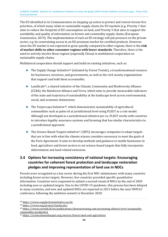The EU identified in its Communication on stepping up action to protect and restore forests five priorities, of which many relate to sustainable supply chains for EU markets (e.g. Priority 1 that aims to reduce the footprint of EU consumption on land, and Priority 5 that aims to support the availability and quality of information on forests and commodity supply chains (European Commission, 2019). The implementation of such an EU strategy will put pressure on the private sector, e.g. by constraining access to an EU premium market for certified products. However, since the EU market is not expected to grow quickly compared to other regions, there is the **risk of market shifts to other consumer regions with lower standards**. Therefore, there is the need to actively involve these regions (especially China) in multilateral cooperation on sustainable supply chains.

Multilateral cooperation should support and build on existing initiatives, such as:

- <span id="page-43-5"></span> $\blacktriangleright$  The Supply Change Initiative<sup>38</sup> (initiated by Forest Trends), a transformational resource for businesses, investors, an[d g](#page-43-1)overnments, as well as the civil society organizations that support and hold them accountable;
- <span id="page-43-6"></span>► LandScale39, a shared initiative of the Climate, Community and Biodiversity Alliance (CCBA), t[he](#page-43-2) Rainforest Alliance and Verra, which aims to provide measurable indicators of the state and trajectory of sustainability at the landscape level across environmental, social, and economic dimensions;
- <span id="page-43-7"></span>► The Terpercaya Initiative40, which demonstrates sustainability of agricultural commodities such as pal[m o](#page-43-3)il at jurisdictional level using FLEGT as a role model. Although not developed as a jurisdictional initiative per se, FLEGT works with countries to introduce legality assurance systems and licensing that has similar characteristics to a jurisdictional approach;
- <span id="page-43-8"></span>► The Science Based Targets initiative41 (SBTi) encourages companies to adopt targets that are in line with what the climat[e s](#page-43-4)cience considers necessary to meet the goals of the Paris Agreement. It aims to develop methods and guidance to enable businesses in food, agriculture and forest sectors to set science-based targets that fully incorporate deforestation and land-related emissions.

#### <span id="page-43-0"></span>**3.4 Options for increasing consistency of national targets: Encouraging countries for coherent forest protection and landscape restoration pledges and improving representation of land use in NDCs**

Forests were recognised as a key sector during the first NDC submissions, with many countries including forest sector targets. However, few countries provided specific quantitative information. Countries were requested to submit a second round of NDCs by the end of 2020 including new or updated targets. Due to the COVID-19 pandemic, this process has been delayed in many countries, and new and updated NDCs are expected in 2021 before the next UNFCCC conference, following the ambition summit in December 2020.

<span id="page-43-2"></span><span id="page-43-1"></span>[<sup>38</sup>](#page-43-5) <https://www.supplychaininitiative.eu/de>

<span id="page-43-3"></span><sup>39</sup> <https://verra.org/project/landscale/>

<span id="page-43-4"></span><sup>40</sup> [https://www.euredd.efi.int/publications/demonstrating-and-promoting-district-level-sustainable](https://www.euredd.efi.int/publications/demonstrating-and-promoting-district-level-sustainable-commodity-production)[commodity-production](https://www.euredd.efi.int/publications/demonstrating-and-promoting-district-level-sustainable-commodity-production)

<sup>41</sup> <https://sciencebasedtargets.org/sectors/forest-land-and-agriculture>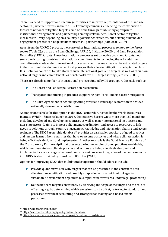There is a need to support and encourage countries to improve representation of the land use sector, in particular forests, in their NDCs. For many countries, enhancing the contribution of forests to national mitigation targets could be done through establishing appropriate institutional arrangements and partnerships among stakeholders. Forest sector mitigation measures will vary depending on a country's governance structure, but a strong stakeholder engagement process can help facilitate successful partnerships (Sato et al., 2019).

Apart from the UNFCCC process, there are other international processes related to the forest sector [\(Table 2\)](#page-18-0), such as the Bonn Challenge, AFR100, Initiative 20x20, and Land Degradation Neutrality (LDN) targets. These international processes set collective goals and targets, and some participating countries make national commitments for achieving them. In addition to commitments made under international processes, countries may have set forest related targets in their national development or sectoral plans, or their climate mitigation or adaptation plans. It is useful for countries to take stock of such international goals and targets, as well as their own national targets and commitments as benchmarks for NDC target setting (Sato et al., 2019).

There are already a number of international projects funded by IKI to support this task, such as:

- ► [The Forest and Landscape Restoration Mechanism;](http://www.fao.org/in-action/forest-landscape-restoration-mechanism/en/)
- ► [Transparent monitoring in practice: supporting post-Paris land use sector mitigation;](https://www.international-climate-initiative.com/en/details/project/transparent-monitoring-in-practice-supporting-postparis-land-use-sector-mitigation-20_III_108-3049?iki_lang=en)
- <span id="page-44-4"></span><span id="page-44-3"></span>► [The Paris Agreement in action: upscaling forest and landscape restoration to achieve](https://www.international-climate-initiative.com/en/details/project/the-paris-agreement-in-action-upscaling-forest-and-landscape-restoration-to-achieve-nationally-determined-contributions-18_III_094-3037)  [nationally determined contributions.](https://www.international-climate-initiative.com/en/details/project/the-paris-agreement-in-action-upscaling-forest-and-landscape-restoration-to-achieve-nationally-determined-contributions-18_III_094-3037)

An important vehicle for this option is the NDC Partnership, hosted by the World Resources Institute (WRI)**[42](#page-44-0)**. Since its launch in 2016, the initiative has grown to more than 180 members, including developed and developing countries as well as major international institutions and non-state actors. It aims to increase alignment, coordination, and access to resources to link needs to solutions through country engag[em](#page-44-1)ent, knowledge and information sharing and access to finance. The NDC Partnership database<sup>43</sup> provides a searchable repository of good practices and lessons learned from countries that have overcome obstacles and where climate action is being effectively designed an[d im](#page-44-2)plemented. Another example is the Good Practice Database of the Transparency Partnership44 that presents various examples of good practices worldwide, which demonstrate how climate policies and actions are being effectively designed and implemented across a range of national contexts. Guidance for integration of the land use sector into NDCs is also provided by Herold and Böttcher (2018).

Options for improving NDCs that multilateral cooperation should address include:

- <span id="page-44-5"></span>► Provide quantitative non-GHG targets that can be presented in the context of both climate change mitigation and possibly adaptation with or without linkages to sustainable development objectives (example: total forest area under legal protection);
- ► Define net-zero targets consistently by clarifying the scope of the target and the role of offsetting, e.g. by determining which emissions can be offset, referring to standards and processes for robust accounting and strategies for making land-based offsets permanent;

<span id="page-44-1"></span><span id="page-44-0"></span>[<sup>42</sup>](#page-44-3) <https://ndcpartnership.org/>

<span id="page-44-2"></span>[<sup>43</sup>](#page-44-5) <https://ndcpartnership.org/good-practice-database>

<sup>44</sup> <https://www.transparency-partnership.net/good-practice-database>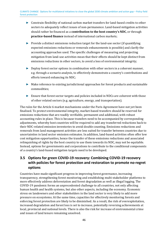- ► Constrain flexibility of national carbon market transfers for land-based credits to other sectors to adequately reflect issues of non-permanence. Land-based mitigation activities should rather be financed as a **contribution to the host country's NDC**, or through **practice-based finance** instead of international carbon markets;
- ► Provide a distinct emissions reduction target for the land-use sector (if quantifying expected emissions reductions or removals enhancements is possible) and clarify the accounting approaches used. The specific challenges of measuring and projecting mitigation from land-use activities mean that their effects should be kept distinct from emissions reductions in other sectors, to avoid a loss of environmental integrity;
- ► Deploy forest sector options in combination with other sectors in a coherent manner, e.g. through a scenario analysis, to effectively demonstrate a country's contributions and efforts toward enhancing its NDC;
- ► Make reference to existing jurisdictional approaches for forest products and sustainable commodities;
- ► Ensure that forest sector targets and policies included in NDCs are coherent with those of other related sectors (e.g. agriculture, energy, and transportation).

The rules for the Article 6 market mechanisms under the Paris Agreement have not yet been finalised. To protect environmental integrity, market-based transfers should be reserved for emissions reductions that are readily verifiable, permanent and additional, with robust accounting rules in place. This is because transfers need to be accompanied by corresponding adjustments, whereby host countries will be required to add any transferred reductions back to their NDC-related emission inventories to avoid double counting. Emissions reductions and removals from land management activities are less suited for transfer between countries due to uncertainties in land sector emission estimates. In addition, land-based activities often offer low cost mitigation opportunities, hence the transfer of these emissions reductions and associated relinquishing of rights by the host country to use them towards its NDC, may not be equitable. Instead, options for governments and corporations to contribute to the conditional components of a country's land-based mitigation targets need to be developed.

#### <span id="page-45-0"></span>**3.5 Options for green COVID-19 recovery: Combining COVID-19 recovery with policies for forest protection and restoration to promote no-regret options**

Countries have made significant progress in improving forest governance, increasing transparency, strengthening forest monitoring and establishing multi-stakeholder platforms to more effectively address deforestation and forest degradation as well as illegal logging. The COVID-19 pandemic forms an unprecedented challenge to all countries, not only affecting human health and health systems, but also other aspects, including the economy. Economic stress on landowners and other stakeholders in the land sector is very likely to add more pressure on ecosystems. At the same time, capacities for effectively monitoring forests and enforcing forest protection are likely to be diminished. As a result, the risk of overexploitation, increased degradation and forest loss is set to increase, potentially reversing achievements at local, provincial and national levels. There is also the risk for increase of environmental crime and issues of land tenure remaining unsolved.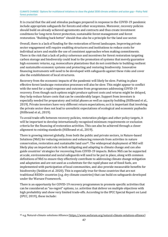It is crucial that the aid and stimulus packages prepared in response to the COVID-19 pandemic include appropriate safeguards for forests and other ecosystems. Moreover, recovery policies should build on already achieved agreements and contracts and thus create investment conditions for long-term forest protection, sustainable forest management and forest restoration. "Building back better" should thus also be a principle for the land use sector.

Overall, there is a lack of funding for the restoration of forest landscapes. Improving private sector engagement will require enabling structures and institutions to reduce costs for individual actors and enable the use of consistent approaches when making commitments. There is the risk that a lack of policy coherence and incentives for forest restoration targeting carbon storage and biodiversity could lead to the promotion of systems that merely guarantee high economic returns, e.g. monoculture plantations that do not contribute to building resilient and sustainable economic systems and protecting and restoring biodiversity. Innovative financing instruments will need to be developed with safeguards against these risks and cover also the establishment of local structures.

Recovery from the economic impacts of the pandemic will likely be slow. Putting in place effective forest landscape restoration processes will also be slow. This might appear to conflict with the need for a rapid response and outcome from programmes addressing COVID-19 recovery. Even though such options might produce upfront costs and returns might be delayed, they help reduce future costs that can be considerably larger. Support from investors is especially needed for preparatory and initial phases as well as capacity building (Hillbrand et al., 2019). Private investors have very different return expectations, so it is important that involving the private sector does not lead to unrealistic expectations of ecological and economic paybacks (Hillbrand et al., 2019).

To avoid trade-offs between recovery policies, restoration pledges and other policy targets, it will be important to develop internationally recognised minimum requirements or exclusion criteria for the financing of restoration activities. This can also be achieved through a closer alignment to existing standards (Hillbrand et al., 2019).

<span id="page-46-1"></span>There is growing interest globally, from both the public and private sectors, in Nature-based Solutions (NbS) for reducing emissions and enhan[cin](#page-46-0)g removals from activities in nature conservation, restoration and sustainable land use45. The widespread deployment of NbS will likely play an important role in both mitigating and adapting to climate change and can also guide countries' strategies for recovering from COVID-19 impacts. Before NbS can be supported at scale, environmental and social safeguards will need to be put in place, along with common definitions of NbS to ensure they effectively contribute to addressing climate change mitigation and adaptation and are not used as a substitute for the rapid phase out of fossil fuels, are implemented with participation of local communities, and also provide measurable benefits for biodiversity (Seddon et al. 2020). This is especially true for those countries that are not traditional REDD+ countries (e.g. dry climate countries) that can build on safeguards developed under the Warsaw Framework.

There is an opportunity for COVID-19 recovery programmes to promote specific activities that can be considered as "no-regret" options, i.e. activities that deliver on multiple objectives with high probability and show very limited trade-offs. According to the IPCC Special Report on Land (IPCC, 2019), these include:

<span id="page-46-0"></span>[<sup>45</sup>](#page-46-1) e.g. Natural-climate solutions Alliance [\(https://www.weforum.org/natural-climate-solutions-alliance\)](https://www.weforum.org/natural-climate-solutions-alliance)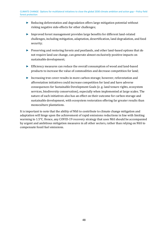- ► Reducing deforestation and degradation offers large mitigation potential without risking negative side-effects for other challenges;
- ► Improved forest management provides large benefits for different land-related challenges, including mitigation, adaptation, desertification, land degradation, and food security;
- ► Preserving and restoring forests and peatlands, and other land-based options that do not require land use change, can generate almost exclusively positive impacts on sustainable development;
- ► Efficiency measures can reduce the overall consumption of wood and land-based products to increase the value of commodities and decrease competition for land;
- ► Increasing tree cover results in more carbon storage; however, reforestation and afforestation initiatives could increase competition for land and have adverse consequences for Sustainable Development Goals (e. g. land tenure rights, ecosystem services, biodiversity conservation), especially when implemented at large scales. The nature of such initiatives also has an effect on their outcome for carbon storage and sustainable development, with ecosystem restoration offering far greater results than monoculture plantations.

It is important to note that the ability of NbS to contribute to climate change mitigation and adaptation will hinge upon the achievement of rapid emissions reductions in line with limiting warming to 1.5°C. Hence, any COVID-19 recovery strategy that uses NbS should be accompanied by urgent and ambitious mitigation measures in all other sectors, rather than relying on NbS to compensate fossil fuel emissions.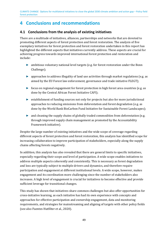### <span id="page-48-0"></span>**4 Conclusions and recommendations**

#### <span id="page-48-1"></span>**4.1 Conclusions from the analysis of existing initiatives**

There are a multitude of initiatives, alliances, partnerships and networks that are devoted to promoting different aspects of forest protection and forest restoration. The analysis of five exemplary initiatives for forest protection and forest restoration undertaken in this report has highlighted the different aspects that initiatives currently address. These aspects are crucial for achieving progress towards improved international forest protection and restoration and include:

- ► ambitious voluntary national level targets (e.g. for forest restoration under the Bonn Challenge);
- ► approaches to address illegality of land use activities through market regulations (e.g. as aimed by the EU Forest law enforcement, governance and trade initiative FLEGT);
- ► focus on regional engagement for forest protection in high forest area countries (e.g. as done by the Central African Forest Initiative CAFI);
- ► establishment of funding sources not only for projects but also for more jurisdictional approaches to reducing emissions from deforestation and forest degradation (e.g. as done by the World Bank BioCarbon Fund Initiative for Sustainable Forest Landscapes);
- ► and cleaning the supply chains of globally traded commodities from deforestation (e.g. through improved supply chain management as promoted by the Accountability Framework initiative).

Despite the large number of existing initiatives and the wide scope of coverage regarding different aspects of forest protection and forest restoration, this analysis has identified scope for increasing collaboration to improve participation of stakeholders, especially along the supply chains affecting forests negatively.

In addition, this analysis has also revealed that there are general limits to specific initiatives, especially regarding their scope and level of participation. A wide scope enables initiatives to address multiple aspects coherently and consistently. This is necessary as forest degradation and loss are typically subject to multiple drivers and dynamics, and therefore require participation and engagement at different institutional levels. A wide scope, however, makes engagement and its coordination more challenging since the number of stakeholders also increases. A high level of engagement is crucial for initiatives to become effective and provide sufficient leverage for transitional changes.

This study has shown that initiatives share common challenges but also offer opportunities for cross-initiative learning, as each initiative has had its own experience with concepts and approaches for effective participation and ownership engagement, data and monitoring requirements, and strategies for mainstreaming and aligning of targets with other policy fields (see also Fuentes Hutfilter et al., 2020).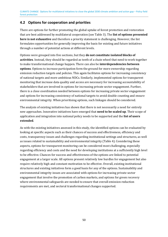#### <span id="page-49-0"></span>**4.2 Options for cooperation and priorities**

There are options for further promoting the global uptake of forest protection and restoration that are best addressed by multilateral cooperation (see [Table 3\)](#page-34-0). The **list of options presented here is not exhaustive** and therefore a priority statement is challenging. However, the list formulates opportunities for generally improving the basis for existing and future initiatives through a number of potential actions at different levels.

Options were grouped into five sections, but they **do not constitute isolated blocks of activities**. Instead, they should be regarded as teeth of a chain wheel that need to work together to make transformational change happen. There can also be **interdependencies between options**. Options to increase participation form the ground for more ownership regarding emission reduction targets and policies. This again facilitates options for increasing consistency of national targets and more ambitious NDCs. Similarly, implemented options for transparent monitoring that increase data quality and access are necessary for increasing accountability of stakeholders that are involved in options for increasing private sector engagement. Further, there is a close coordination needed between options for increasing private sector engagement and options for increasing consistency of national targets to avoid double counting and ensure environmental integrity. When prioritising options, such linkages should be considered.

The analysis of existing initiatives has shown that there is not necessarily a need for entirely new approaches. Innovative initiatives have emerged that **need to be scaled up**. Their scope of application and integration into national policy needs to be supported and the **list of users extended**.

As with the existing initiatives assessed in this study, the identified options can be evaluated by looking at specific aspects such as their chances of success and effectiveness, efficiency and costs, transparency issues and challenges regarding institutional settings and structures, as well as issues related to sustainability and environmental integrity [\(Table 4\)](#page-50-0). Considering these aspects, options for transparent monitoring can be considered most challenging, especially regarding efficiency and costs and the need for developing institutions at a sufficiently high level to be effective. Chances for success and effectiveness of the options are linked to potential engagement at a larger scale. All options present relatively low hurdles for engagement but also require relatively high and constant motivation to be effective. Overall, existing institutional structures and existing initiatives form a good basis for any of the options. Sustainability and environmental integrity issues are associated with options for increasing private sector engagement that involve the promotion of carbon markets, and options for green recovery where environmental safeguards are needed to ensure that overall emission reduction requirements are met, and sectoral transformational changes supported.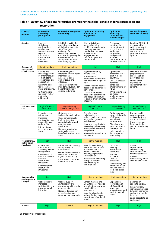| restoration                      |                                                                                                                                                                                                                                                  |                                                                                                                                                                                                                                        |                                                                                                                                                                                                                                                                                                                         |                                                                                                                                                                                                                  |                                                                                                                                                                    |  |
|----------------------------------|--------------------------------------------------------------------------------------------------------------------------------------------------------------------------------------------------------------------------------------------------|----------------------------------------------------------------------------------------------------------------------------------------------------------------------------------------------------------------------------------------|-------------------------------------------------------------------------------------------------------------------------------------------------------------------------------------------------------------------------------------------------------------------------------------------------------------------------|------------------------------------------------------------------------------------------------------------------------------------------------------------------------------------------------------------------|--------------------------------------------------------------------------------------------------------------------------------------------------------------------|--|
| Criteria/<br>options             | <b>Options for</b><br>increasing<br>participation                                                                                                                                                                                                | <b>Options for transparent</b><br>monitoring                                                                                                                                                                                           | <b>Options for increasing</b><br>private sector<br>engagement                                                                                                                                                                                                                                                           | <b>Options for</b><br>increasing<br>consistency of<br>national targets                                                                                                                                           | <b>Options for green</b><br><b>COVID-19 recovery</b>                                                                                                               |  |
| <b>Activity</b>                  | Increase<br>stakeholder<br>participation,<br>resolve land<br>tenure issues and<br>reduce<br>information<br>imbalances to<br>improve<br>ownership                                                                                                 | Establish a facility for<br>providing a consistent<br>global reference data<br>set of land use<br>emissions for<br>reconciling national<br>data and supporting the<br>development of<br>transparent national<br>monitoring systems     | Align jurisdictional<br>approaches with<br>certification and supply<br>chain management<br>standards to enhance<br>private sector<br>engagement and<br>support longer-term<br>commitments                                                                                                                               | Encourage<br>countries for<br>coherent forest<br>protection and<br>landscape<br>restoration<br>pledges and<br>improve<br>representation of<br>land use in NDCs                                                   | Combine COVID-19<br>recovery with<br>policies for forest<br>protection and<br>restoration to<br>promote no-regret<br>options                                       |  |
| <b>Chances of</b><br>success and | High to medium                                                                                                                                                                                                                                   | High to medium                                                                                                                                                                                                                         | <b>High</b>                                                                                                                                                                                                                                                                                                             | High                                                                                                                                                                                                             | <b>High</b>                                                                                                                                                        |  |
| effectiveness                    | Flexibly and<br>readily applicable<br>at different levels<br>of multilateral<br>collaboration and<br>negotiation.<br>Resolving land<br>tenure issues<br>more challenging.<br><b>GHG</b> emissions<br>reduction rather<br>indirectly<br>addressed | Consistent global<br>reference system needs<br>international<br>agreement to be<br>authoritative and<br>effective.<br>Transparent national<br>monitoring systems can<br>benefit from many<br>existing initiatives.                     | High motivation by<br>private sector.<br>Jurisdictional<br>approaches help address<br>complexity of the policy<br>field.<br><b>Effectiveness of options</b><br>depends on governance<br>performance.<br>Market instruments<br>need to be constrained<br>and designed carefully<br>to ensure environmental<br>integrity. | Options for<br>improving NDCs<br>exist in many<br>countries.<br><b>UNFCCC</b> process<br>demands<br>continued<br>improvements of<br>NDCs.<br>While targets can<br>be strong,<br>implementation<br>might be poor. | Economic recovery<br>programmes in<br>general high on<br>policy agendas.<br><b>Effectiveness</b><br>depends on<br>implementation of<br>options.                    |  |
| <b>Efficiency and</b><br>Costs   | High efficiency<br>Low costs                                                                                                                                                                                                                     | High efficiency<br><b>Medium to high costs</b>                                                                                                                                                                                         | High efficiency<br>Low costs                                                                                                                                                                                                                                                                                            | High efficiency<br>Low costs                                                                                                                                                                                     | High efficiency<br><b>Medium costs</b>                                                                                                                             |  |
|                                  | Financial costs<br>rather low.<br>Increased<br>participation and<br>ownership have<br>co-benefits.<br>Interventions<br>need to be long-<br>term.                                                                                                 | Options can be<br>technically challenging.<br>Costs comparatively<br>high for technical<br>capacity building and<br>data intensive<br>applications.<br>National monitoring<br>systems have co-<br>benefits for other policy<br>fields. | Costs for single<br>stakeholders are<br>reduced by jurisdictional<br>approaches ("green<br>jurisdictions").<br>However, complexity is<br>increasing and requires<br>more participation and<br>integration.<br>Interventions need to be<br>long-term.                                                                    | Options require<br>close collaboration<br>of different<br>agencies at<br>national level.<br>Global data and<br>tools can support<br>these options.<br>Links to options<br>for transparent<br>monitoring.         | Options might<br>produce upfront<br>costs and returns<br>might be delayed.<br>However, avoids<br>future costs that<br>can be considerably<br>larger.               |  |
| Transparency,<br>institutional   | High                                                                                                                                                                                                                                             | High                                                                                                                                                                                                                                   | High to medium                                                                                                                                                                                                                                                                                                          | High                                                                                                                                                                                                             | <b>High</b>                                                                                                                                                        |  |
| structures                       | Options are<br>important for<br>achieving overall<br>transparency.<br>Can be built on<br>national and sub-<br>national<br>Institutional<br>structures.<br>Can strengthen<br>institutional<br>structures                                          | Potential for increasing<br>transparency of<br>national data.<br>Global data can serve as<br>reference system for<br>higher comparability.<br>Institutional structures<br>need to be built.                                            | Need for establishing<br>institutional structures<br>at national and sub-<br>national level for<br>ensuring legality and<br>sustainability.<br>Potential for increasing<br>transparency and<br>comparability of<br>commitments.                                                                                         | Can build on<br>existing<br>institutional<br>structures.<br>Already<br>established<br><b>UNFCCC</b><br>processes.<br>Transparency and<br>completeness of<br><b>NDCs important</b><br>for global stock<br>take.   | Can be<br>implemented<br>within existing<br>international and<br>national structures.<br>Level of<br>transparency varies<br>with actions taken.                    |  |
| Sustainability,<br>environmenta  | High                                                                                                                                                                                                                                             | <b>High</b>                                                                                                                                                                                                                            | High to medium                                                                                                                                                                                                                                                                                                          | High to medium                                                                                                                                                                                                   | <b>High to medium</b>                                                                                                                                              |  |
| I integrity                      | Options lead to<br>increased<br>sustainability and<br>environmental<br>integrity.                                                                                                                                                                | Options support<br>sustainability and<br>environmental integrity<br>assessments.<br>National data support<br>overall sustainable<br>resource management.                                                                               | Carbon markets and<br>GHG standards need to<br>be embedded into wider<br>sustainability<br>framework.<br>Need for close link to<br>options for increasing<br>consistency of national<br>targets.                                                                                                                        | Depends on<br>formulation of<br>NDCs and their<br>scope and<br>integration of land<br>use into overall<br>target.                                                                                                | Depends on<br>concrete actions.<br>Can potentially<br>increase coherence<br>between economic<br>and environmental<br>targets.<br>Social aspects to be<br>hezzenhha |  |

# <span id="page-50-0"></span>**Table 4: Overview of options for further promoting the global uptake of forest protection and**

Source: own compilation.

**Priority High High Medium High to medium High High High High** 

Social aspects to be addressed.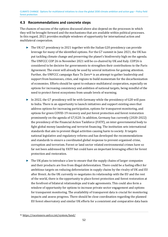#### <span id="page-51-0"></span>**4.3 Recommendations and concrete steps**

The chances of success of the options discussed above also depend on the processes in which they will be brought forward and the mechanisms that are available within political processes. In this regard, 2021 provides multiple windows of opportunity for international action and multilateral cooperation.

- <span id="page-51-2"></span>► The UK G7 presidency in 2021 together with the Italian G20 presidency can provide leverage for many of the identified options. For the G7 summit in June 2021, the UK has put tackling climate change and preserving the planet's biodiversity high on the agenda. The UNFCCC COP 26 in November 2021 will be co-chaired by UK and Italy. COP26 is considered to be decisive for governments to strengthen their contributions to the Paris Agreement. The event will already be used b[y s](#page-51-1)everal initiatives for gaining attention. Further, the UNFCCC campaign Race To Zero<sup>46</sup> is an attempt to gather leadership and support from businesses, cities, and regions to build momentum for the decarbonization of economies. Efforts should be spent to enhance multilateral cooperation, especially on options for increasing consistency and ambition of national targets, being mindful of the need to protect forest ecosystems from unsafe levels of warming.
- ► In 2022, the G7 presidency will be with Germany while the presidency of G20 will pass to India. There is an opportunity to launch initiatives and support existing ones that address options for increasing participation, options for transparent monitoring, and options for green COVID-19 recovery and put forest protection and forest restoration prominently on the agenda of G7/G20. In addition, Germany has currently (2020-2022) the presidency of the Financial Action Taskforce (FATF), an inter-governmental body to fight global money laundering and terrorist financing. The institution sets international standards that aim to prevent illegal activities causing harm to society. It targets national legislative and regulatory reforms and has developed the recommendations and standards to ensure a coordinated global response to prevent organised crime, corruption and terrorism. Forest or land sector related environmental crimes have so far not been addressed by FATF but could have an important leveraging effect for forest protection and restoration.
- $\triangleright$  The UK plans to introduce a law to ensure that the supply chains of larger companies and their products are free from illegal deforestation. There could be a fueling effect for ambitious targets on reducing deforestation in supply chains by the rivalry of UK and EU after Brexit. As the UK currently re-negotiates its relationship with the EU and the rest of the world, there is the opportunity to place forest protection and forest restoration at the forefront of bilateral relationships and trade agreements. This could also form a window of opportunity for options to increase private sector engagement and options for transparent monitoring. The availability of transparent data is crucial for monitoring impacts and assess progress. There should be close coordination regarding the planned EU forest observatory and similar UK efforts for a consistent and comparative data basis

<span id="page-51-1"></span>[<sup>46</sup>](#page-51-2) <https://racetozero.unfccc.int/system/land/>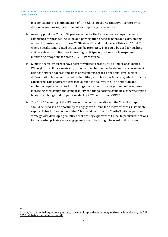<span id="page-52-1"></span>(see for example recommendation of UK's Global Resource Initiative Taskforce[47](#page-52-0) to develop a monitoring, measurement and reporting framework).

- ► An entry point to G20 and G7 processes can be the Engagement Groups that were established for broader inclusion and participation of social actors and exist, among others, for businesses (Business 20/Business 7) and think tanks (Think 20/Think 7) where specific land-related actions can be promoted. This could be used for pushing actions related to options for increasing participation, options for transparent monitoring or options for green COVID-19 recovery.
- $\triangleright$  Climate neutrality targets have been formulated recently by a number of countries. While globally climate neutrality or net zero emissions can be defined as a permanent balance between sources and sinks of greenhouse gases, at national level further differentiation is needed around its definition, e.g. what does it include, which sinks are considered, role of offsets purchased outside the country etc. The definition and minimum requirements for formulating climate neutrality targets and other options for increasing consistency and comparability of national targets could be a concrete topic of bilateral exchange and cooperation during 2021 and around COP26.
- ► The COP 15 meeting of the UN Convention on Biodiversity and the Shanghai Expo should be used as an opportunity to engage with China for a move towards sustainable supply chains for key commodities. This could be through a South–South cooperation strategy with developing countries that are key exporters to China. In particular, options for increasing private sector engagement could be brought forward in this context.

<span id="page-52-0"></span>47

[https://assets.publishing.service.gov.uk/government/uploads/system/uploads/attachment\\_data/file/88](https://assets.publishing.service.gov.uk/government/uploads/system/uploads/attachment_data/file/881395/global-resource-initiative.pdf) [1395/global-resource-initiative.pdf](https://assets.publishing.service.gov.uk/government/uploads/system/uploads/attachment_data/file/881395/global-resource-initiative.pdf)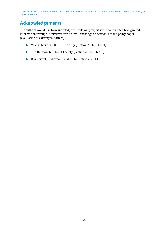### <span id="page-53-0"></span>**Acknowledgements**

The authors would like to acknowledge the following experts who contributed background information through interviews or via e-mail exchange on section 2 of the policy paper (evaluation of existing initiatives):

- ► Valerie Merckx, EU REDD Facility (Section 2.3 EU FLEGT)
- ► Tim Dawson, EU FLEGT Facility (Section 2.3 EU FLEGT)
- ► Roy Parizat, BioCarbon Fund ISFL (Section 2.5 ISFL)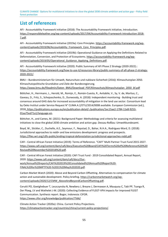CLIMATE CHANGE Options for multilateral initiatives to close the global 2030 climate ambition and action gap – Policy field forest protection

### <span id="page-54-0"></span>**List of references**

AFI - Accountability Framework initiative (2018): The Accountability Framework initiative, Introduction. [https://responsibleleather.org/wp-content/uploads/2017/04/Accountability-Framework-Introduction-2018-](https://responsibleleather.org/wp-content/uploads/2017/04/Accountability-Framework-Introduction-2018-7.pdf) [7.pdf.](https://responsibleleather.org/wp-content/uploads/2017/04/Accountability-Framework-Introduction-2018-7.pdf)

AFI - Accountability Framework initiative (2019a): Core Principles[. https://accountability-framework.org/wp](https://accountability-framework.org/wp-content/uploads/2019/06/Accountability_Framework_Core_Principles.pdf)[content/uploads/2019/06/Accountability\\_Framework\\_Core\\_Principles.pdf.](https://accountability-framework.org/wp-content/uploads/2019/06/Accountability_Framework_Core_Principles.pdf)

AFI - Accountability Framework initiative (2019b): Operational Guidance on Applying the Definitions Related to Deforestation, Conversion, and Protection of Ecosystems. [https://accountability-framework.org/wp](https://accountability-framework.org/wp-content/uploads/2019/05/Operational_Guidance_Applying_Definitions.pdf)content/uploads/2019/05/Operational Guidance Applying Definitions.pdf.

AFI - Accountability Framework initiative (2020): Public Summary of AFi Phase 2 Strategy (2020-2022).: [https://accountability-framework.org/how-to-use-it/resources-library/public-summary-of-afi-phase-2-strategy-](https://accountability-framework.org/how-to-use-it/resources-library/public-summary-of-afi-phase-2-strategy-2020-2022/)[2020-2022/.](https://accountability-framework.org/how-to-use-it/resources-library/public-summary-of-afi-phase-2-strategy-2020-2022/) 

BMU – Bundesministerium für Umwelt, Naturschutz und nukleare Sicherheit (2016): Klimaschutzplan 2050. Klimaschutzpolitische Grundsätze und Ziele der Bundesregierung.

[https://www.bmu.de/fileadmin/Daten\\_BMU/Download\\_PDF/Klimaschutz/klimaschutzplan\\_2050\\_bf.pdf](https://www.bmu.de/fileadmin/Daten_BMU/Download_PDF/Klimaschutz/klimaschutzplan_2050_bf.pdf)

Böttcher, H., Herrmann, L., Herold, M., Romijn, E., Román-Cuesta, R., Avitabile, V., Sy, V. de, Martius, C., Gaveau, D., Fritz, S., Schepaschenko, D., Dunwoody, A. (2018): Independent monitoring - Building trust and consensus around GHG data for increased accountability of mitigation in the land use sector. Consortium lead by Oeko Institut under Service Request N° CLIMA.A.2/ETU/2014/0008 available. European Commission (ed.), 2018. [https://publications.europa.eu/en/publication-detail/-/publication/1ec15ae2-1784-11e8-9253-](https://publications.europa.eu/en/publication-detail/-/publication/1ec15ae2-1784-11e8-9253-01aa75ed71a1/language-en) [01aa75ed71a1/language-en.](https://publications.europa.eu/en/publication-detail/-/publication/1ec15ae2-1784-11e8-9253-01aa75ed71a1/language-en)

Böttcher, H., and Cames, M. (2021): Background Paper: Methodology and criteria for assessing multilateral initiatives to close the global 2030 climate ambition and action gap. Dessau-Roßlau: Umweltbundesamt.

Boyd, W., Stickler, C., Duchelle, A.E., Seymour, F., Nepstad, D., Bahar, N.H.A., Rodriguez-Ward, D. (2018): Jurisdictional approaches to redd+ and low emissions development: progress and prospects. [https://files.wri.org/s3fs-public/ending-tropical-deforestation-jurisdictional-approaches-redd.pdf.](https://files.wri.org/s3fs-public/ending-tropical-deforestation-jurisdictional-approaches-redd.pdf)

CAFI - Central African Forest Initiative (2019): Terms of Reference. "CAFI" Multi Partner Trust Fund 2015-2027. [https://www.cafi.org/content/dam/cafi/docs/Executive%20Board/CAFI%20Terms%20of%20Reference%20%20](https://www.cafi.org/content/dam/cafi/docs/Executive%20Board/CAFI%20Terms%20of%20Reference%20%20Revised%20November%202018%20.pdf) [Revised%20November%202018%20.pdf.](https://www.cafi.org/content/dam/cafi/docs/Executive%20Board/CAFI%20Terms%20of%20Reference%20%20Revised%20November%202018%20.pdf) 

CAFI - Central African Forest Initiative (2020): CAFI Trust Fund - 2019 Consolidated Report, Annual Report, 2020. [https://www.cafi.org/content/dam/cafi/docs/Our-](https://www.cafi.org/content/dam/cafi/docs/Our-work/Annual%20reports/CAFI%202019%20Consolidated%20Annual%20Report%20-FINAL%20for%20MPTF%20-%2031%20May%202020.pdf)

[work/Annual%20reports/CAFI%202019%20Consolidated%20Annual%20Report%20-](https://www.cafi.org/content/dam/cafi/docs/Our-work/Annual%20reports/CAFI%202019%20Consolidated%20Annual%20Report%20-FINAL%20for%20MPTF%20-%2031%20May%202020.pdf) [FINAL%20for%20MPTF%20-%2031%20May%202020.pdf.](https://www.cafi.org/content/dam/cafi/docs/Our-work/Annual%20reports/CAFI%202019%20Consolidated%20Annual%20Report%20-FINAL%20for%20MPTF%20-%2031%20May%202020.pdf)

Carbon Market Watch (2020): Above and Beyond Carbon Offsetting. Alternatives to compensation for climate action and sustainable development. Policy briefing. [https://carbonmarketwatch.org/wp](https://carbonmarketwatch.org/wp-content/uploads/2020/12/CMW_AboveAndBeyondCarbonOffsetting.pdf)[content/uploads/2020/12/CMW\\_AboveAndBeyondCarbonOffsetting.pdf.](https://carbonmarketwatch.org/wp-content/uploads/2020/12/CMW_AboveAndBeyondCarbonOffsetting.pdf)

Cerutti PO, Goetghebuer T, Leszczynska N, Newbery J, Breyne J, Dermawan A, Mauquoy C, Tabi PP, Tsanga R, Der Ploeg, LV and Wathelet J-M. (2020): Collecting Evidence of FLEGT-VPA Impacts for Improved FLEGT Communication. Synthesis report. Bogor, Indonesia: CIFOR. <https://www.cifor.org/knowledge/publication/7566/>

Climate Action Tracker (2020a): China. Current Policy Projections. [https://climateactiontracker.org/countries/china/current-policy-projections/.](https://climateactiontracker.org/countries/china/current-policy-projections/)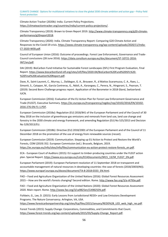Climate Action Tracker (2020b): India. Current Policy Projections. [https://climateactiontracker.org/countries/india/current-policy-projections/.](https://climateactiontracker.org/countries/india/current-policy-projections/)

Climate Transparency (2019): Brown to Green Report 2019[. http://www.climate-transparency.org/g20-climate](http://www.climate-transparency.org/g20-climate-performance/g20report2018)[performance/g20report2018.](http://www.climate-transparency.org/g20-climate-performance/g20report2018) 

Climate Transparency (2020): India. Climate Transparency Report: Comparing G20 Climate Action and Responses to the Covid-19 crisis. [https://www.climate-transparency.org/wp-content/uploads/2020/11/India-](https://www.climate-transparency.org/wp-content/uploads/2020/11/India-CT-2020-WEB.pdf)[CT-2020-WEB.pdf.](https://www.climate-transparency.org/wp-content/uploads/2020/11/India-CT-2020-WEB.pdf)

Council of European Union (2016): Outcome of proceedings. Forest Law Enforcement, Governance and Trade-Council conclusions (28 June 2016). [https://data.consilium.europa.eu/doc/document/ST-10721-2016-](https://data.consilium.europa.eu/doc/document/ST-10721-2016-INIT/en/pdf) [INIT/en/pdf.](https://data.consilium.europa.eu/doc/document/ST-10721-2016-INIT/en/pdf)

DAI (2019): BioCarbon Fund Initiative for Sustainable Forest Landscapes (ISFL) First Program Evaluation, Final Report[. https://www.biocarbonfund-isfl.org/sites/isfl/files/2020-04/BioCarbon%20Fund%20ISFL%20-](https://www.biocarbonfund-isfl.org/sites/isfl/files/2020-04/BioCarbon%20Fund%20ISFL%20-%20Final%20Evaluation%20Report.pdf) [%20Final%20Evaluation%20Report.pdf.](https://www.biocarbonfund-isfl.org/sites/isfl/files/2020-04/BioCarbon%20Fund%20ISFL%20-%20Final%20Evaluation%20Report.pdf)

Dave, R., Saint-Laurent, C., Murray, L., Daldegan, G. A., Brouwer, R., d Mattos Scaramuzza, C. A., Raes, L., Simonit, S., Catapan, M., García Contreras, G., Ndoli, A., Karangwa, C., Perera, N., Hingorani, S., Pearson, T. (2019): Second Bonn Challenge progress report. Application of the Barometer in 2018 Gland, Switzerland: IUCN.

European Commission (2016): Evaluation of the EU Action Plan for Forest Law Enforcement Governance and Trade (FLEGT). Executive Summary[. https://ec.europa.eu/transparency/regdoc/rep/10102/2016/EN/10102-](https://ec.europa.eu/transparency/regdoc/rep/10102/2016/EN/10102-2016-276-EN-F1-1.PDF) [2016-276-EN-F1-1.PDF.](https://ec.europa.eu/transparency/regdoc/rep/10102/2016/EN/10102-2016-276-EN-F1-1.PDF)

European Commission (2018a): Regulation (EU) 2018/841 of the European Parliament and of the Council of 30 May 2018 on the inclusion of greenhouse gas emissions and removals from land use, land use change and forestry in the 2030 climate and energy framework, and amending Regulation (EU) No 525/2013 and Decision No 529/2013/EU.

European Commission (2018b): Directive (EU) 2018/2001 of the European Parliament and of the Council of 11 December 2018 on the promotion of the use of energy from renewable sources (recast).

European Commission (2019): Communication. Stepping up EU Action to Protect and Restore the World's Forests, COM (2019) 352. European Commission (ed.). Brussels, Belgium, 2019. [https://ec.europa.eu/info/sites/info/files/communication-eu-action-protect-restore-forests\\_en.pdf.](https://ec.europa.eu/info/sites/info/files/communication-eu-action-protect-restore-forests_en.pdf)

ECA - European Court of Auditors (2015): EU support to timber‑producing countries under the FLEGT action plan. Special Report[. https://www.eca.europa.eu/Lists/ECADocuments/SR15\\_13/SR\\_FLEGT\\_EN.pdf.](https://www.eca.europa.eu/Lists/ECADocuments/SR15_13/SR_FLEGT_EN.pdf) 

European Parliament (2019): European Parliament resolution of 11 September 2018 on transparent and accountable management of natural resources in developing countries: the case of forests (2018/2003(INI)). [https://www.europarl.europa.eu/doceo/document/TA-8-2018-0333\\_EN.html.](https://www.europarl.europa.eu/doceo/document/TA-8-2018-0333_EN.html)

FAO – Food and Agriculture Organization of the United Nations (2016): Global Forest Resources Assessment 2015 – How are the world's forests changing? Second edition. Rome[. http://www.fao.org/3/a-i4793e.pdf.](http://www.fao.org/3/a-i4793e.pdf) 

FAO – Food and Agriculture Organization of the United Nations (2020): Global Forest Resources Assessment 2020. Main report. Rome. [http://www.fao.org/3/ca9825en/CA9825EN.pdf.](http://www.fao.org/3/ca9825en/CA9825EN.pdf)

Fishbein, G., Lee, D. (2015): Early Lessons from Jurisdictional REDD+ and Low Emissions Development Programs. The Nature Conservancy. Arlington, VA, USA.

[https://www.forestcarbonpartnership.org/sites/fcp/files/2015/January/REDD%2B\\_LED\\_web\\_high\\_res.pdf.](https://www.forestcarbonpartnership.org/sites/fcp/files/2015/January/REDD%2B_LED_web_high_res.pdf)

Forest Trends (2015): Supply Change: Corporations, Commodities, and Commitments that Count. [https://www.forest-trends.org/wp-content/uploads/2015/03/Supply-Change\\_Report.pdf.](https://www.forest-trends.org/wp-content/uploads/2015/03/Supply-Change_Report.pdf)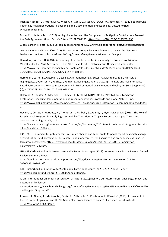Fuentes Hutfilter, U., Attard, M.-U., Wilson, R., Ganti, G., Fyson, C., Duwe, M., Böttcher, H. (2020): Background Paper: Key mitigation options to close the global 2030 ambition and action gap. Dessau-Roßlau: Umweltbundesamt.

Fyson, C. L., Jeffery, M. L. (2019): Ambiguity in the Land Use Component of Mitigation Contributions Toward the Paris Agreement Goals. Earth's Future, 2019EF001190. [https://doi.org/10.1029/2019EF001190.](https://doi.org/10.1029/2019EF001190)

Global Carbon Project (2020): Carbon budget and trends 2020[. www.globalcarbonproject.org/carbonbudget.](http://www.globalcarbonproject.org/carbonbudget)

Global Canopy and Forest500 (2019): Not on target: companies must do more to deliver the New York Declaration on Forests. [https://forest500.org/sites/default/files/nydfsignatoriesfinal.pdf.](https://forest500.org/sites/default/files/nydfsignatoriesfinal.pdf) 

Herold, A., Böttcher, H. (2018): Accounting of the land-use sector in nationally determined contributions (NDCs) under the Paris Agreement. Hg. v. G.I.Z. Oeko Institut. Oeko Institut. Online verfügbar unter https://www.transparency-partnership.net/system/files/document/Guide%20Accounting%20of%20landuse%20sector%20in%20NDCs%28vf%29\_20181010.pdf.

Herold, M., Carter, S., Avitabile, V., Espejo, A. B., Jonckheere, I., Lucas, R., McRoberts, R. E., Næsset, E., Nightingale, J., Petersen, R., Reiche, J., Romijn, E., Rosenqvist, A. et al. (2019): The Role and Need for Space-Based Forest Biomass-Related Measurements in Environmental Management and Policy. In: Surv Geophys 40 (4), p. 757–778. 10.1007/s10712-019-09510-6.

Hillbrand, A., Reuter, A., Mannigel, E., Klimpel, T., Metz, M. (2019): On the Way to Forest Landscape Restoration. Financing, Implementation and recommendations. Oro Verde and Global Nature Fund. [https://www.globalnature.org/bausteine.net/f/9475/ForestLandscapeRestoration\\_Recommendations.pdf?fd=](https://www.globalnature.org/bausteine.net/f/9475/ForestLandscapeRestoration_Recommendations.pdf?fd=0)  $\underline{0}$ .

Hovani, L., Cortez, R., Hartanto, H., Thompson, I., Fishbein, G., Adams, J., Myers Madeira, E. (2018): The Role of Jurisdictional Programs in Catalyzing Sustainability Transitions in Tropical Forest Landscapes. The Nature Conservancy. Arlington, VA, USA.

[https://www.nature.org/content/dam/tnc/nature/en/documents/TNC\\_Role\\_Jurisdictional\\_Programs\\_Sustaina](https://www.nature.org/content/dam/tnc/nature/en/documents/TNC_Role_Jurisdictional_Programs_Sustainability_Transitions_2018.pdf) bility Transitions 2018.pdf.

IPCC (2019): Summary for policymakers. In Climate Change and Land: an IPCC special report on climate change, desertification, land degradation, sustainable land management, food security, and greenhouse gas fluxes in terrestrial ecosystems[. https://www.ipcc.ch/site/assets/uploads/sites/4/2019/12/02\\_Summary-for-](https://www.ipcc.ch/site/assets/uploads/sites/4/2019/12/02_Summary-for-Policymakers_SPM.pdf)[Policymakers\\_SPM.pdf.](https://www.ipcc.ch/site/assets/uploads/sites/4/2019/12/02_Summary-for-Policymakers_SPM.pdf)

ISFL - BioCarbon Fund Initiative for Sustainable Forest Landscapes (2019): International Climate Finance: Annual Review-Summary Sheet.

[https://devflow.northeurope.cloudapp.azure.com/files/documents/BioCF+Annual+Review+2018-19-](https://devflow.northeurope.cloudapp.azure.com/files/documents/BioCF+Annual+Review+2018-19-20200325110305.pdf) [20200325110305.pdf.](https://devflow.northeurope.cloudapp.azure.com/files/documents/BioCF+Annual+Review+2018-19-20200325110305.pdf)

ISFL - BioCarbon Fund Initiative for Sustainable Forest Landscapes (2020): 2020 Annual Report. [https://biocarbonfund-isfl.org/ISFL-2020-Annual-Report/.](https://biocarbonfund-isfl.org/ISFL-2020-Annual-Report/)

IUCN - International Union for Conservation of Nature (2020): Restore our future – Bonn Challenge. Impact and potential of landscape

restoration[.https://www.bonnchallenge.org/sites/default/files/resources/files/%5Bnode%3Anid%5D/Bonn%20](https://www.bonnchallenge.org/sites/default/files/resources/files/%5Bnode%3Anid%5D/Bonn%20Challenge%20Report.pdf) [Challenge%20Report.pdf.](https://www.bonnchallenge.org/sites/default/files/resources/files/%5Bnode%3Anid%5D/Bonn%20Challenge%20Report.pdf)

Jonsson, R., Giurca, A., Masiero, M., Pepke, E., Pettenella, D., Prestemon, J., Winkel, G (2015): Assessment of the EU Timber Regulation and FLEGT Action Plan. From Science to Policy 1. European Forest Institute. [https://doi.org/10.36333/fs01.](https://doi.org/10.36333/fs01)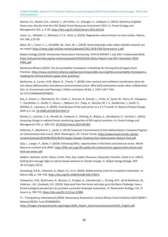CLIMATE CHANGE Options for multilateral initiatives to close the global 2030 climate ambition and action gap – Policy field forest protection

Keenan, R.J., Reams, G.A., Achard, F., de Freitas, J.V., Grainger, A., Lindquist, E. (2015): Dynamics of global forest area: Results from the FAO Global Forest Resources Assessment 2015. In: Forest Ecology and Management 352, p. 9–20. [https://doi.org/10.1016/j.foreco.2015.06.014.](https://doi.org/10.1016/j.foreco.2015.06.014)

Lewis, S.L., Wheeler, C., Mitchard, E.T.A., Koch, A. (2019): Regenerate natural forests to store carbon. Nature, Vol. 568, p.25-28.

Mace, M. J., Fyson, C. L., Schaeffer, M., Hare, W. L. (2018): Governing large-scale carbon dioxide removal: are we ready? [https://www.c2g2.net/wp-content/uploads/C2G2-2018-CDR-Governance-1.pdf.](https://www.c2g2.net/wp-content/uploads/C2G2-2018-CDR-Governance-1.pdf)

Mekon Ecology (2019): Amsterdam Declarations Partnership. STATUS REPORT 1 July 2017–31December2018. [https://ad-partnership.org/wp-content/uploads/2019/10/AD-Status-Report-July-2017-December-2018-](https://ad-partnership.org/wp-content/uploads/2019/10/AD-Status-Report-July-2017-December-2018-FINAL.pdf) [FINAL.pdf.](https://ad-partnership.org/wp-content/uploads/2019/10/AD-Status-Report-July-2017-December-2018-FINAL.pdf)

Rainforest Alliance (2019): The Accountability Framework: A Roadmap for Driving Ethical Supply Chain Practices. [https://www.rainforest-alliance.org/business/responsible-sourcing/the-accountability-framework-a](https://www.rainforest-alliance.org/business/responsible-sourcing/the-accountability-framework-a-roadmap-for-driving-ethical-supply-chain-practices/)[roadmap-for-driving-ethical-supply-chain-practices/.](https://www.rainforest-alliance.org/business/responsible-sourcing/the-accountability-framework-a-roadmap-for-driving-ethical-supply-chain-practices/)

Ravikumar, A., Larson, A.M., Myers, R., Trench, T. (2018): Inter-sectoral and multilevel coordination alone do not reduce deforestation and advance environmental justice: Why bold contestation works when collaboration fails. In: Environment and Planning C: Politics and Space 36 (8), S. 1437–1457. DOI: 10.1177/2399654418794025.

Roe, S., Streck, C., Obersteiner, M., Frank, S., Griscom, B., Drouet, L., Fricko, O., Gusti, M., Harris, N., Hasegawa, T., Hausfather, Z., Havlík, P., House, J., Nabuurs, G.J., Popp, A., Sánchez, M. J. S., Sanderman, J., Smith, P., Stehfest, E., Lawrence, D. (2019): Contribution of the land sector to a 1.5 °C world. In: Nature Climate Change, 2019, p.1–12[. 10.1038/s41558-019-0591-9.](https://doi.org/10.1038/s41558-019-0591-9)

Romijn, E., Lantican, C. B., Herold, M., Lindquist, E., Ochieng, R., Wijaya, A., Murdiyarso, D., Verchot, L. (2015): Assessing change in national forest monitoring capacities of 99 tropical countries. In: Forest Ecology and Management 352, p. 109–123. 10.1016/j.foreco.2015.06.003.

Rothrock, P., Weatherer, L., Zwick, S. (2019) Corporate Commitments to Zero deforestation: Company Progress on Commitments that Count, 2019. Washington, DC: Forest Trends[. https://www.forest-trends.org/wp](https://www.forest-trends.org/wp-content/uploads/2019/06/2019.06.05-Supply-Change-Targeting-Zero-Deforestation-Report-Final.pdf)[content/uploads/2019/06/2019.06.05-Supply-Change-Targeting-Zero-Deforestation-Report-Final.pdf.](https://www.forest-trends.org/wp-content/uploads/2019/06/2019.06.05-Supply-Change-Targeting-Zero-Deforestation-Report-Final.pdf)

Sato, I., Langer, P., Stolle, F. (2019): Enhancing NDCs: opportunities in the forest and land-use sector. World Resource Institute and UNDP[. https://files.wri.org/s3fs-public/ndc-enhancement-opportunities-forest-and](https://files.wri.org/s3fs-public/ndc-enhancement-opportunities-forest-and-land-use-sector.pdf)[land-use-sector.pdf.](https://files.wri.org/s3fs-public/ndc-enhancement-opportunities-forest-and-land-use-sector.pdf)

Seddon, Nathalie; Smith, Alison; Smith, Pete; Key, Isabel; Chausson, Alexandre; Girardin, Cécile et al. (2021): Getting the message right on nature-based solutions to climate change. In: Global change biology. DOI: 10.1111/gcb.15513.

Strassburg, B.B.N., Iribarrem, A., Beyer, H.L. et al. (2020): Global priority areas for ecosystem restoration. In: Nature 586**,** p. 724–729[. https://doi.org/10.1038/s41586-020-2784-9.](https://doi.org/10.1038/s41586-020-2784-9)

Temperton, V.M., Buchmann, N., Buisson, E., Durigan, G., Kazmierczak, L., Perring, M.P., de Sá Dechoum, M., Veldman, J.W., Overbeck, G.E. (2019): Step back from the forest and step up to the Bonn Challenge: how a broad ecological perspective can promote successful landscape restoration. In: Restoration Ecology, Vol. 27 Issue 4, p. 705-719. [https://doi.org/10.1111/rec.12989.](https://doi.org/10.1111/rec.12989) 

TI – Transparency International (2020): Governance Assessment. Central African Forest Initiative (CAFI) &DRC's National REDD+ Fund (FONAREDD).

[https://images.transparencycdn.org/images/2020\\_Report\\_GovernanceAssessmentCAFI\\_English.pdf.](https://images.transparencycdn.org/images/2020_Report_GovernanceAssessmentCAFI_English.pdf)